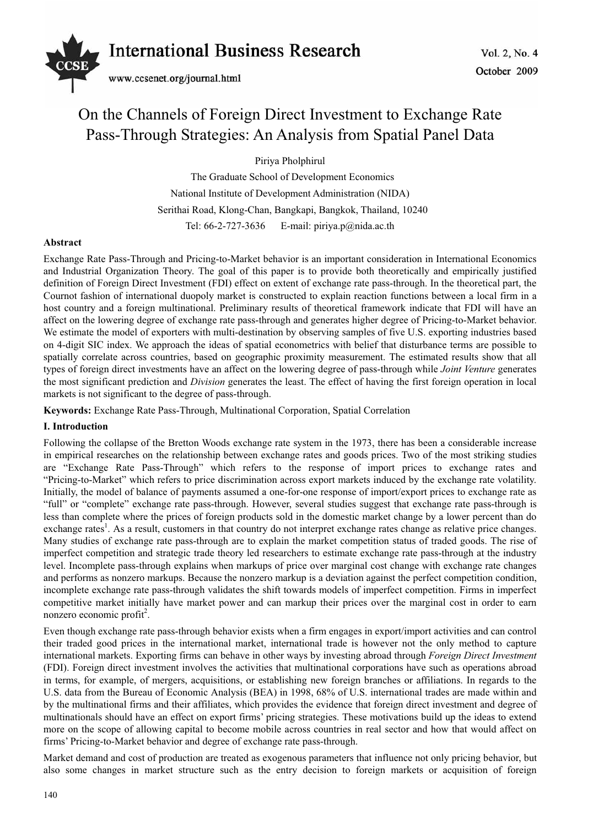

# On the Channels of Foreign Direct Investment to Exchange Rate Pass-Through Strategies: An Analysis from Spatial Panel Data

Piriya Pholphirul

 The Graduate School of Development Economics National Institute of Development Administration (NIDA) Serithai Road, Klong-Chan, Bangkapi, Bangkok, Thailand, 10240 Tel: 66-2-727-3636 E-mail: piriya.p@nida.ac.th

# **Abstract**

Exchange Rate Pass-Through and Pricing-to-Market behavior is an important consideration in International Economics and Industrial Organization Theory. The goal of this paper is to provide both theoretically and empirically justified definition of Foreign Direct Investment (FDI) effect on extent of exchange rate pass-through. In the theoretical part, the Cournot fashion of international duopoly market is constructed to explain reaction functions between a local firm in a host country and a foreign multinational. Preliminary results of theoretical framework indicate that FDI will have an affect on the lowering degree of exchange rate pass-through and generates higher degree of Pricing-to-Market behavior. We estimate the model of exporters with multi-destination by observing samples of five U.S. exporting industries based on 4-digit SIC index. We approach the ideas of spatial econometrics with belief that disturbance terms are possible to spatially correlate across countries, based on geographic proximity measurement. The estimated results show that all types of foreign direct investments have an affect on the lowering degree of pass-through while *Joint Venture* generates the most significant prediction and *Division* generates the least. The effect of having the first foreign operation in local markets is not significant to the degree of pass-through.

**Keywords:** Exchange Rate Pass-Through, Multinational Corporation, Spatial Correlation

# **I. Introduction**

Following the collapse of the Bretton Woods exchange rate system in the 1973, there has been a considerable increase in empirical researches on the relationship between exchange rates and goods prices. Two of the most striking studies are "Exchange Rate Pass-Through" which refers to the response of import prices to exchange rates and "Pricing-to-Market" which refers to price discrimination across export markets induced by the exchange rate volatility. Initially, the model of balance of payments assumed a one-for-one response of import/export prices to exchange rate as "full" or "complete" exchange rate pass-through. However, several studies suggest that exchange rate pass-through is less than complete where the prices of foreign products sold in the domestic market change by a lower percent than do exchange rates<sup>1</sup>. As a result, customers in that country do not interpret exchange rates change as relative price changes. Many studies of exchange rate pass-through are to explain the market competition status of traded goods. The rise of imperfect competition and strategic trade theory led researchers to estimate exchange rate pass-through at the industry level. Incomplete pass-through explains when markups of price over marginal cost change with exchange rate changes and performs as nonzero markups. Because the nonzero markup is a deviation against the perfect competition condition, incomplete exchange rate pass-through validates the shift towards models of imperfect competition. Firms in imperfect competitive market initially have market power and can markup their prices over the marginal cost in order to earn nonzero economic profit $2$ .

Even though exchange rate pass-through behavior exists when a firm engages in export/import activities and can control their traded good prices in the international market, international trade is however not the only method to capture international markets. Exporting firms can behave in other ways by investing abroad through *Foreign Direct Investment* (FDI). Foreign direct investment involves the activities that multinational corporations have such as operations abroad in terms, for example, of mergers, acquisitions, or establishing new foreign branches or affiliations. In regards to the U.S. data from the Bureau of Economic Analysis (BEA) in 1998, 68% of U.S. international trades are made within and by the multinational firms and their affiliates, which provides the evidence that foreign direct investment and degree of multinationals should have an effect on export firms' pricing strategies. These motivations build up the ideas to extend more on the scope of allowing capital to become mobile across countries in real sector and how that would affect on firms' Pricing-to-Market behavior and degree of exchange rate pass-through.

Market demand and cost of production are treated as exogenous parameters that influence not only pricing behavior, but also some changes in market structure such as the entry decision to foreign markets or acquisition of foreign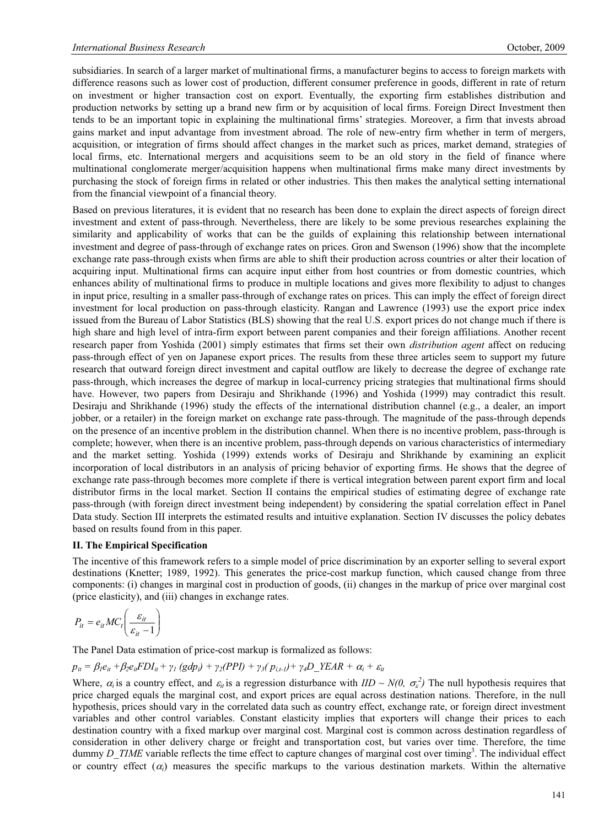subsidiaries. In search of a larger market of multinational firms, a manufacturer begins to access to foreign markets with difference reasons such as lower cost of production, different consumer preference in goods, different in rate of return on investment or higher transaction cost on export. Eventually, the exporting firm establishes distribution and production networks by setting up a brand new firm or by acquisition of local firms. Foreign Direct Investment then tends to be an important topic in explaining the multinational firms' strategies. Moreover, a firm that invests abroad gains market and input advantage from investment abroad. The role of new-entry firm whether in term of mergers, acquisition, or integration of firms should affect changes in the market such as prices, market demand, strategies of local firms, etc. International mergers and acquisitions seem to be an old story in the field of finance where multinational conglomerate merger/acquisition happens when multinational firms make many direct investments by purchasing the stock of foreign firms in related or other industries. This then makes the analytical setting international from the financial viewpoint of a financial theory.

Based on previous literatures, it is evident that no research has been done to explain the direct aspects of foreign direct investment and extent of pass-through. Nevertheless, there are likely to be some previous researches explaining the similarity and applicability of works that can be the guilds of explaining this relationship between international investment and degree of pass-through of exchange rates on prices. Gron and Swenson (1996) show that the incomplete exchange rate pass-through exists when firms are able to shift their production across countries or alter their location of acquiring input. Multinational firms can acquire input either from host countries or from domestic countries, which enhances ability of multinational firms to produce in multiple locations and gives more flexibility to adjust to changes in input price, resulting in a smaller pass-through of exchange rates on prices. This can imply the effect of foreign direct investment for local production on pass-through elasticity. Rangan and Lawrence (1993) use the export price index issued from the Bureau of Labor Statistics (BLS) showing that the real U.S. export prices do not change much if there is high share and high level of intra-firm export between parent companies and their foreign affiliations. Another recent research paper from Yoshida (2001) simply estimates that firms set their own *distribution agent* affect on reducing pass-through effect of yen on Japanese export prices. The results from these three articles seem to support my future research that outward foreign direct investment and capital outflow are likely to decrease the degree of exchange rate pass-through, which increases the degree of markup in local-currency pricing strategies that multinational firms should have. However, two papers from Desiraju and Shrikhande (1996) and Yoshida (1999) may contradict this result. Desiraju and Shrikhande (1996) study the effects of the international distribution channel (e.g., a dealer, an import jobber, or a retailer) in the foreign market on exchange rate pass-through. The magnitude of the pass-through depends on the presence of an incentive problem in the distribution channel. When there is no incentive problem, pass-through is complete; however, when there is an incentive problem, pass-through depends on various characteristics of intermediary and the market setting. Yoshida (1999) extends works of Desiraju and Shrikhande by examining an explicit incorporation of local distributors in an analysis of pricing behavior of exporting firms. He shows that the degree of exchange rate pass-through becomes more complete if there is vertical integration between parent export firm and local distributor firms in the local market. Section II contains the empirical studies of estimating degree of exchange rate pass-through (with foreign direct investment being independent) by considering the spatial correlation effect in Panel Data study. Section III interprets the estimated results and intuitive explanation. Section IV discusses the policy debates based on results found from in this paper.

#### **II. The Empirical Specification**

The incentive of this framework refers to a simple model of price discrimination by an exporter selling to several export destinations (Knetter; 1989, 1992). This generates the price-cost markup function, which caused change from three components: (i) changes in marginal cost in production of goods, (ii) changes in the markup of price over marginal cost (price elasticity), and (iii) changes in exchange rates.

$$
P_{it} = e_{it}MC_t \bigg(\frac{\varepsilon_{it}}{\varepsilon_{it} - 1}\bigg)
$$

The Panel Data estimation of price-cost markup is formalized as follows:

$$
p_{it} = \beta_l e_{it} + \beta_2 e_{it} EDI_{it} + \gamma_l (gdp_i) + \gamma_2 (PPI) + \gamma_3 (p_{i,t-l}) + \gamma_4 D_Y EAR + \alpha_i + \varepsilon_{it}
$$

Where,  $\alpha_i$  is a country effect, and  $\varepsilon_i$  is a regression disturbance with  $ID \sim N(0, \sigma_{\varepsilon}^2)$  The null hypothesis requires that price charged equals the marginal cost, and export prices are equal across destination nations. Therefore, in the null hypothesis, prices should vary in the correlated data such as country effect, exchange rate, or foreign direct investment variables and other control variables. Constant elasticity implies that exporters will change their prices to each destination country with a fixed markup over marginal cost. Marginal cost is common across destination regardless of consideration in other delivery charge or freight and transportation cost, but varies over time. Therefore, the time dummy *D\_TIME* variable reflects the time effect to capture changes of marginal cost over timing<sup>3</sup>. The individual effect or country effect  $(a_i)$  measures the specific markups to the various destination markets. Within the alternative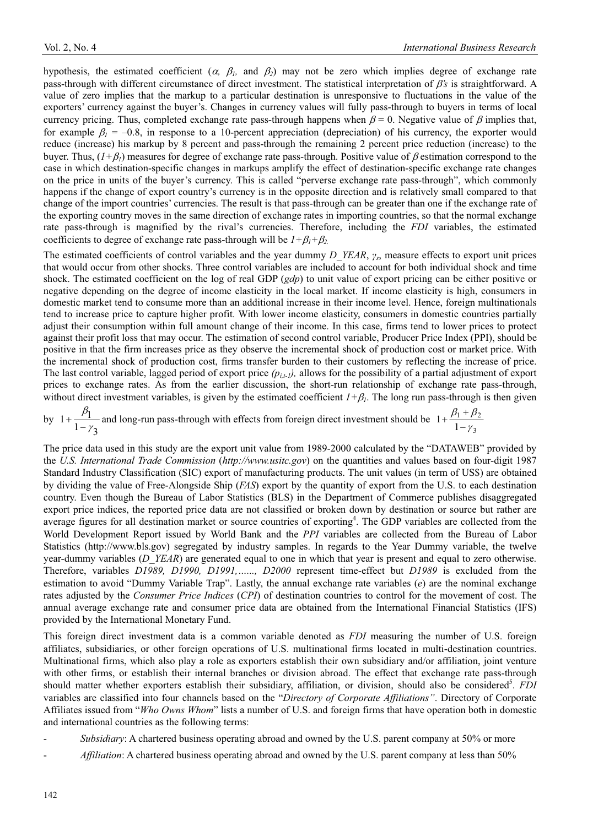hypothesis, the estimated coefficient  $(\alpha, \beta_1, \text{ and } \beta_2)$  may not be zero which implies degree of exchange rate pass-through with different circumstance of direct investment. The statistical interpretation of  $\beta$ 's is straightforward. A value of zero implies that the markup to a particular destination is unresponsive to fluctuations in the value of the exporters' currency against the buyer's. Changes in currency values will fully pass-through to buyers in terms of local currency pricing. Thus, completed exchange rate pass-through happens when  $\beta = 0$ . Negative value of  $\beta$  implies that, for example  $\beta_1 = -0.8$ , in response to a 10-percent appreciation (depreciation) of his currency, the exporter would reduce (increase) his markup by 8 percent and pass-through the remaining 2 percent price reduction (increase) to the buyer. Thus,  $(1+\beta_1)$  measures for degree of exchange rate pass-through. Positive value of  $\beta$  estimation correspond to the case in which destination-specific changes in markups amplify the effect of destination-specific exchange rate changes on the price in units of the buyer's currency. This is called "perverse exchange rate pass-through", which commonly happens if the change of export country's currency is in the opposite direction and is relatively small compared to that change of the import countries' currencies. The result is that pass-through can be greater than one if the exchange rate of the exporting country moves in the same direction of exchange rates in importing countries, so that the normal exchange rate pass-through is magnified by the rival's currencies. Therefore, including the *FDI* variables, the estimated coefficients to degree of exchange rate pass-through will be  $I + B<sub>1</sub> + B<sub>2</sub>$ .

The estimated coefficients of control variables and the year dummy *D\_YEAR*,  $\gamma_s$ , measure effects to export unit prices that would occur from other shocks. Three control variables are included to account for both individual shock and time shock. The estimated coefficient on the log of real GDP (*gdp*) to unit value of export pricing can be either positive or negative depending on the degree of income elasticity in the local market. If income elasticity is high, consumers in domestic market tend to consume more than an additional increase in their income level. Hence, foreign multinationals tend to increase price to capture higher profit. With lower income elasticity, consumers in domestic countries partially adjust their consumption within full amount change of their income. In this case, firms tend to lower prices to protect against their profit loss that may occur. The estimation of second control variable, Producer Price Index (PPI), should be positive in that the firm increases price as they observe the incremental shock of production cost or market price. With the incremental shock of production cost, firms transfer burden to their customers by reflecting the increase of price. The last control variable, lagged period of export price  $(p_{i,t})$ , allows for the possibility of a partial adjustment of export prices to exchange rates. As from the earlier discussion, the short-run relationship of exchange rate pass-through, without direct investment variables, is given by the estimated coefficient  $1+\beta_1$ . The long run pass-through is then given

by 
$$
1 + \frac{\beta_1}{1 - \gamma_3}
$$
 and long-run pass-through with effects from foreign direct investment should be  $1 + \frac{\beta_1 + \beta_2}{1 - \gamma_3}$ 

The price data used in this study are the export unit value from 1989-2000 calculated by the "DATAWEB" provided by the *U.S. International Trade Commission* (*http://www.usitc.gov*) on the quantities and values based on four-digit 1987 Standard Industry Classification (SIC) export of manufacturing products. The unit values (in term of US\$) are obtained by dividing the value of Free-Alongside Ship (*FAS*) export by the quantity of export from the U.S. to each destination country. Even though the Bureau of Labor Statistics (BLS) in the Department of Commerce publishes disaggregated export price indices, the reported price data are not classified or broken down by destination or source but rather are average figures for all destination market or source countries of exporting<sup>4</sup>. The GDP variables are collected from the World Development Report issued by World Bank and the *PPI* variables are collected from the Bureau of Labor Statistics (http://www.bls.gov) segregated by industry samples. In regards to the Year Dummy variable, the twelve year-dummy variables (*D\_YEAR*) are generated equal to one in which that year is present and equal to zero otherwise. Therefore, variables *D1989, D1990, D1991,…..., D2000* represent time-effect but *D1989* is excluded from the estimation to avoid "Dummy Variable Trap". Lastly, the annual exchange rate variables (*e*) are the nominal exchange rates adjusted by the *Consumer Price Indices* (*CPI*) of destination countries to control for the movement of cost. The annual average exchange rate and consumer price data are obtained from the International Financial Statistics (IFS) provided by the International Monetary Fund.

This foreign direct investment data is a common variable denoted as *FDI* measuring the number of U.S. foreign affiliates, subsidiaries, or other foreign operations of U.S. multinational firms located in multi-destination countries. Multinational firms, which also play a role as exporters establish their own subsidiary and/or affiliation, joint venture with other firms, or establish their internal branches or division abroad. The effect that exchange rate pass-through should matter whether exporters establish their subsidiary, affiliation, or division, should also be considered<sup>5</sup>. FDI variables are classified into four channels based on the "*Directory of Corporate Affiliations"*. Directory of Corporate Affiliates issued from "*Who Owns Whom*" lists a number of U.S. and foreign firms that have operation both in domestic and international countries as the following terms:

- *Subsidiary*: A chartered business operating abroad and owned by the U.S. parent company at 50% or more
- *Affiliation*: A chartered business operating abroad and owned by the U.S. parent company at less than 50%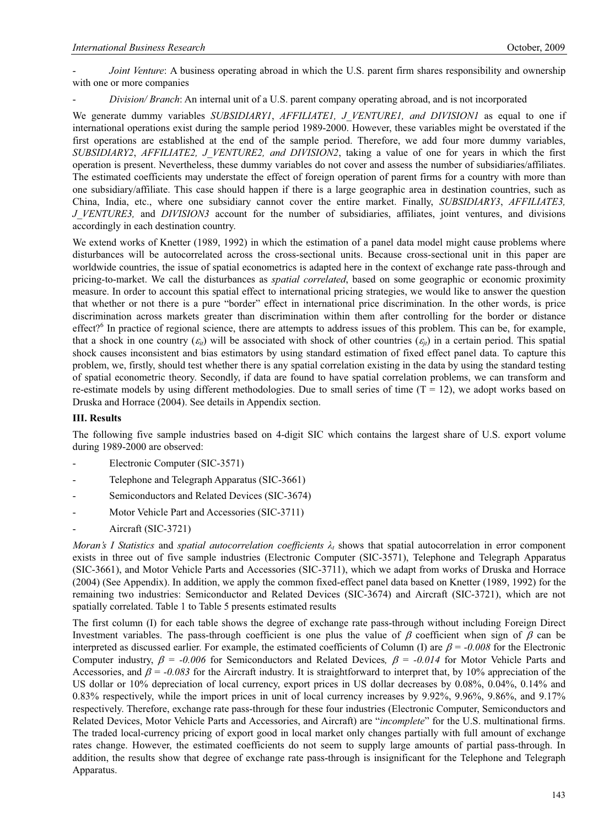*Joint Venture*: A business operating abroad in which the U.S. parent firm shares responsibility and ownership with one or more companies

- *Division/ Branch*: An internal unit of a U.S. parent company operating abroad, and is not incorporated

We generate dummy variables *SUBSIDIARY1*, *AFFILIATE1, J\_VENTURE1, and DIVISION1* as equal to one if international operations exist during the sample period 1989-2000. However, these variables might be overstated if the first operations are established at the end of the sample period. Therefore, we add four more dummy variables, *SUBSIDIARY2*, *AFFILIATE2, J\_VENTURE2, and DIVISION2*, taking a value of one for years in which the first operation is present. Nevertheless, these dummy variables do not cover and assess the number of subsidiaries/affiliates. The estimated coefficients may understate the effect of foreign operation of parent firms for a country with more than one subsidiary/affiliate. This case should happen if there is a large geographic area in destination countries, such as China, India, etc., where one subsidiary cannot cover the entire market. Finally, *SUBSIDIARY3*, *AFFILIATE3, J\_VENTURE3*, and *DIVISION3* account for the number of subsidiaries, affiliates, joint ventures, and divisions accordingly in each destination country.

We extend works of Knetter (1989, 1992) in which the estimation of a panel data model might cause problems where disturbances will be autocorrelated across the cross-sectional units. Because cross-sectional unit in this paper are worldwide countries, the issue of spatial econometrics is adapted here in the context of exchange rate pass-through and pricing-to-market. We call the disturbances as *spatial correlated*, based on some geographic or economic proximity measure. In order to account this spatial effect to international pricing strategies, we would like to answer the question that whether or not there is a pure "border" effect in international price discrimination. In the other words, is price discrimination across markets greater than discrimination within them after controlling for the border or distance effect?<sup>6</sup> In practice of regional science, there are attempts to address issues of this problem. This can be, for example, that a shock in one country  $(\varepsilon_n)$  will be associated with shock of other countries  $(\varepsilon_n)$  in a certain period. This spatial shock causes inconsistent and bias estimators by using standard estimation of fixed effect panel data. To capture this problem, we, firstly, should test whether there is any spatial correlation existing in the data by using the standard testing of spatial econometric theory. Secondly, if data are found to have spatial correlation problems, we can transform and re-estimate models by using different methodologies. Due to small series of time  $(T = 12)$ , we adopt works based on Druska and Horrace (2004). See details in Appendix section.

### **III. Results**

The following five sample industries based on 4-digit SIC which contains the largest share of U.S. export volume during 1989-2000 are observed:

- Electronic Computer (SIC-3571)
- Telephone and Telegraph Apparatus (SIC-3661)
- Semiconductors and Related Devices (SIC-3674)
- Motor Vehicle Part and Accessories (SIC-3711)
- Aircraft (SIC-3721)

*Moran's I Statistics* and *spatial autocorrelation coefficients*  $\lambda_t$  shows that spatial autocorrelation in error component exists in three out of five sample industries (Electronic Computer (SIC-3571), Telephone and Telegraph Apparatus (SIC-3661), and Motor Vehicle Parts and Accessories (SIC-3711), which we adapt from works of Druska and Horrace (2004) (See Appendix). In addition, we apply the common fixed-effect panel data based on Knetter (1989, 1992) for the remaining two industries: Semiconductor and Related Devices (SIC-3674) and Aircraft (SIC-3721), which are not spatially correlated. Table 1 to Table 5 presents estimated results

The first column (I) for each table shows the degree of exchange rate pass-through without including Foreign Direct Investment variables. The pass-through coefficient is one plus the value of  $\beta$  coefficient when sign of  $\beta$  can be interpreted as discussed earlier. For example, the estimated coefficients of Column (I) are  $\beta$  = -0.008 for the Electronic Computer industry,  $\beta$  = -0.006 for Semiconductors and Related Devices,  $\beta$  = -0.014 for Motor Vehicle Parts and Accessories, and  $\beta$  = -0.083 for the Aircraft industry. It is straightforward to interpret that, by 10% appreciation of the US dollar or 10% depreciation of local currency, export prices in US dollar decreases by 0.08%, 0.04%, 0.14% and 0.83% respectively, while the import prices in unit of local currency increases by 9.92%, 9.96%, 9.86%, and 9.17% respectively. Therefore, exchange rate pass-through for these four industries (Electronic Computer, Semiconductors and Related Devices, Motor Vehicle Parts and Accessories, and Aircraft) are "*incomplete*" for the U.S. multinational firms. The traded local-currency pricing of export good in local market only changes partially with full amount of exchange rates change. However, the estimated coefficients do not seem to supply large amounts of partial pass-through. In addition, the results show that degree of exchange rate pass-through is insignificant for the Telephone and Telegraph Apparatus.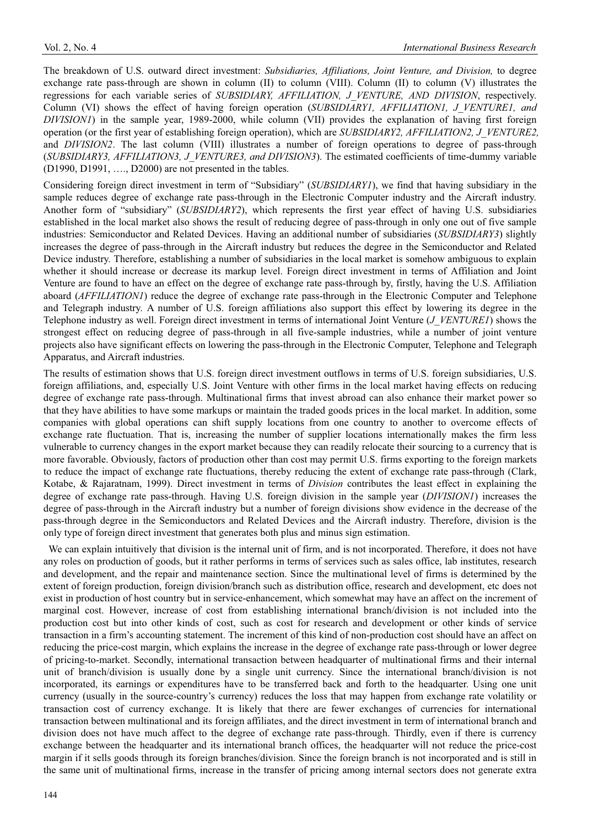The breakdown of U.S. outward direct investment: *Subsidiaries, Affiliations, Joint Venture, and Division,* to degree exchange rate pass-through are shown in column (II) to column (VIII). Column (II) to column (V) illustrates the regressions for each variable series of *SUBSIDIARY, AFFILIATION, J\_VENTURE, AND DIVISION*, respectively. Column (VI) shows the effect of having foreign operation (*SUBSIDIARY1, AFFILIATION1, J\_VENTURE1, and DIVISION1*) in the sample year, 1989-2000, while column (VII) provides the explanation of having first foreign operation (or the first year of establishing foreign operation), which are *SUBSIDIARY2, AFFILIATION2, J\_VENTURE2,*  and *DIVISION2*. The last column (VIII) illustrates a number of foreign operations to degree of pass-through (*SUBSIDIARY3, AFFILIATION3, J\_VENTURE3, and DIVISION3*). The estimated coefficients of time-dummy variable (D1990, D1991, …., D2000) are not presented in the tables.

Considering foreign direct investment in term of "Subsidiary" (*SUBSIDIARY1*), we find that having subsidiary in the sample reduces degree of exchange rate pass-through in the Electronic Computer industry and the Aircraft industry. Another form of "subsidiary" (*SUBSIDIARY2*), which represents the first year effect of having U.S. subsidiaries established in the local market also shows the result of reducing degree of pass-through in only one out of five sample industries: Semiconductor and Related Devices. Having an additional number of subsidiaries (*SUBSIDIARY3*) slightly increases the degree of pass-through in the Aircraft industry but reduces the degree in the Semiconductor and Related Device industry. Therefore, establishing a number of subsidiaries in the local market is somehow ambiguous to explain whether it should increase or decrease its markup level. Foreign direct investment in terms of Affiliation and Joint Venture are found to have an effect on the degree of exchange rate pass-through by, firstly, having the U.S. Affiliation aboard (*AFFILIATION1*) reduce the degree of exchange rate pass-through in the Electronic Computer and Telephone and Telegraph industry. A number of U.S. foreign affiliations also support this effect by lowering its degree in the Telephone industry as well. Foreign direct investment in terms of international Joint Venture (*J\_VENTURE1*) shows the strongest effect on reducing degree of pass-through in all five-sample industries, while a number of joint venture projects also have significant effects on lowering the pass-through in the Electronic Computer, Telephone and Telegraph Apparatus, and Aircraft industries.

The results of estimation shows that U.S. foreign direct investment outflows in terms of U.S. foreign subsidiaries, U.S. foreign affiliations, and, especially U.S. Joint Venture with other firms in the local market having effects on reducing degree of exchange rate pass-through. Multinational firms that invest abroad can also enhance their market power so that they have abilities to have some markups or maintain the traded goods prices in the local market. In addition, some companies with global operations can shift supply locations from one country to another to overcome effects of exchange rate fluctuation. That is, increasing the number of supplier locations internationally makes the firm less vulnerable to currency changes in the export market because they can readily relocate their sourcing to a currency that is more favorable. Obviously, factors of production other than cost may permit U.S. firms exporting to the foreign markets to reduce the impact of exchange rate fluctuations, thereby reducing the extent of exchange rate pass-through (Clark, Kotabe, & Rajaratnam, 1999). Direct investment in terms of *Division* contributes the least effect in explaining the degree of exchange rate pass-through. Having U.S. foreign division in the sample year (*DIVISION1*) increases the degree of pass-through in the Aircraft industry but a number of foreign divisions show evidence in the decrease of the pass-through degree in the Semiconductors and Related Devices and the Aircraft industry. Therefore, division is the only type of foreign direct investment that generates both plus and minus sign estimation.

 We can explain intuitively that division is the internal unit of firm, and is not incorporated. Therefore, it does not have any roles on production of goods, but it rather performs in terms of services such as sales office, lab institutes, research and development, and the repair and maintenance section. Since the multinational level of firms is determined by the extent of foreign production, foreign division/branch such as distribution office, research and development, etc does not exist in production of host country but in service-enhancement, which somewhat may have an affect on the increment of marginal cost. However, increase of cost from establishing international branch/division is not included into the production cost but into other kinds of cost, such as cost for research and development or other kinds of service transaction in a firm's accounting statement. The increment of this kind of non-production cost should have an affect on reducing the price-cost margin, which explains the increase in the degree of exchange rate pass-through or lower degree of pricing-to-market. Secondly, international transaction between headquarter of multinational firms and their internal unit of branch/division is usually done by a single unit currency. Since the international branch/division is not incorporated, its earnings or expenditures have to be transferred back and forth to the headquarter. Using one unit currency (usually in the source-country's currency) reduces the loss that may happen from exchange rate volatility or transaction cost of currency exchange. It is likely that there are fewer exchanges of currencies for international transaction between multinational and its foreign affiliates, and the direct investment in term of international branch and division does not have much affect to the degree of exchange rate pass-through. Thirdly, even if there is currency exchange between the headquarter and its international branch offices, the headquarter will not reduce the price-cost margin if it sells goods through its foreign branches/division. Since the foreign branch is not incorporated and is still in the same unit of multinational firms, increase in the transfer of pricing among internal sectors does not generate extra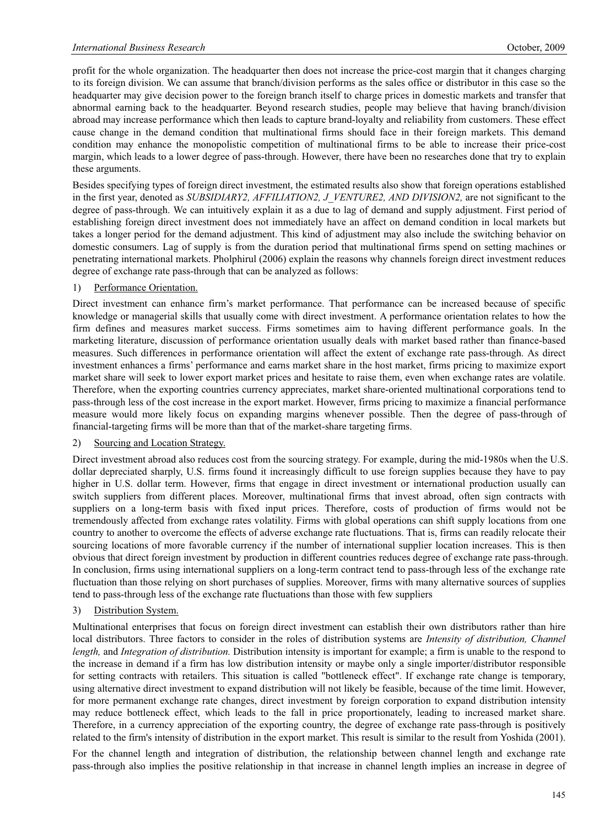profit for the whole organization. The headquarter then does not increase the price-cost margin that it changes charging to its foreign division. We can assume that branch/division performs as the sales office or distributor in this case so the headquarter may give decision power to the foreign branch itself to charge prices in domestic markets and transfer that abnormal earning back to the headquarter. Beyond research studies, people may believe that having branch/division abroad may increase performance which then leads to capture brand-loyalty and reliability from customers. These effect cause change in the demand condition that multinational firms should face in their foreign markets. This demand condition may enhance the monopolistic competition of multinational firms to be able to increase their price-cost margin, which leads to a lower degree of pass-through. However, there have been no researches done that try to explain these arguments.

Besides specifying types of foreign direct investment, the estimated results also show that foreign operations established in the first year, denoted as *SUBSIDIARY2*, AFFILIATION2, J\_VENTURE2, AND DIVISION2, are not significant to the degree of pass-through. We can intuitively explain it as a due to lag of demand and supply adjustment. First period of establishing foreign direct investment does not immediately have an affect on demand condition in local markets but takes a longer period for the demand adjustment. This kind of adjustment may also include the switching behavior on domestic consumers. Lag of supply is from the duration period that multinational firms spend on setting machines or penetrating international markets. Pholphirul (2006) explain the reasons why channels foreign direct investment reduces degree of exchange rate pass-through that can be analyzed as follows:

# 1) Performance Orientation.

Direct investment can enhance firm's market performance. That performance can be increased because of specific knowledge or managerial skills that usually come with direct investment. A performance orientation relates to how the firm defines and measures market success. Firms sometimes aim to having different performance goals. In the marketing literature, discussion of performance orientation usually deals with market based rather than finance-based measures. Such differences in performance orientation will affect the extent of exchange rate pass-through. As direct investment enhances a firms' performance and earns market share in the host market, firms pricing to maximize export market share will seek to lower export market prices and hesitate to raise them, even when exchange rates are volatile. Therefore, when the exporting countries currency appreciates, market share-oriented multinational corporations tend to pass-through less of the cost increase in the export market. However, firms pricing to maximize a financial performance measure would more likely focus on expanding margins whenever possible. Then the degree of pass-through of financial-targeting firms will be more than that of the market-share targeting firms.

### 2) Sourcing and Location Strategy.

Direct investment abroad also reduces cost from the sourcing strategy. For example, during the mid-1980s when the U.S. dollar depreciated sharply, U.S. firms found it increasingly difficult to use foreign supplies because they have to pay higher in U.S. dollar term. However, firms that engage in direct investment or international production usually can switch suppliers from different places. Moreover, multinational firms that invest abroad, often sign contracts with suppliers on a long-term basis with fixed input prices. Therefore, costs of production of firms would not be tremendously affected from exchange rates volatility. Firms with global operations can shift supply locations from one country to another to overcome the effects of adverse exchange rate fluctuations. That is, firms can readily relocate their sourcing locations of more favorable currency if the number of international supplier location increases. This is then obvious that direct foreign investment by production in different countries reduces degree of exchange rate pass-through. In conclusion, firms using international suppliers on a long-term contract tend to pass-through less of the exchange rate fluctuation than those relying on short purchases of supplies. Moreover, firms with many alternative sources of supplies tend to pass-through less of the exchange rate fluctuations than those with few suppliers

### 3) Distribution System.

Multinational enterprises that focus on foreign direct investment can establish their own distributors rather than hire local distributors. Three factors to consider in the roles of distribution systems are *Intensity of distribution, Channel length,* and *Integration of distribution.* Distribution intensity is important for example; a firm is unable to the respond to the increase in demand if a firm has low distribution intensity or maybe only a single importer/distributor responsible for setting contracts with retailers. This situation is called "bottleneck effect". If exchange rate change is temporary, using alternative direct investment to expand distribution will not likely be feasible, because of the time limit. However, for more permanent exchange rate changes, direct investment by foreign corporation to expand distribution intensity may reduce bottleneck effect, which leads to the fall in price proportionately, leading to increased market share. Therefore, in a currency appreciation of the exporting country, the degree of exchange rate pass-through is positively related to the firm's intensity of distribution in the export market. This result is similar to the result from Yoshida (2001).

For the channel length and integration of distribution, the relationship between channel length and exchange rate pass-through also implies the positive relationship in that increase in channel length implies an increase in degree of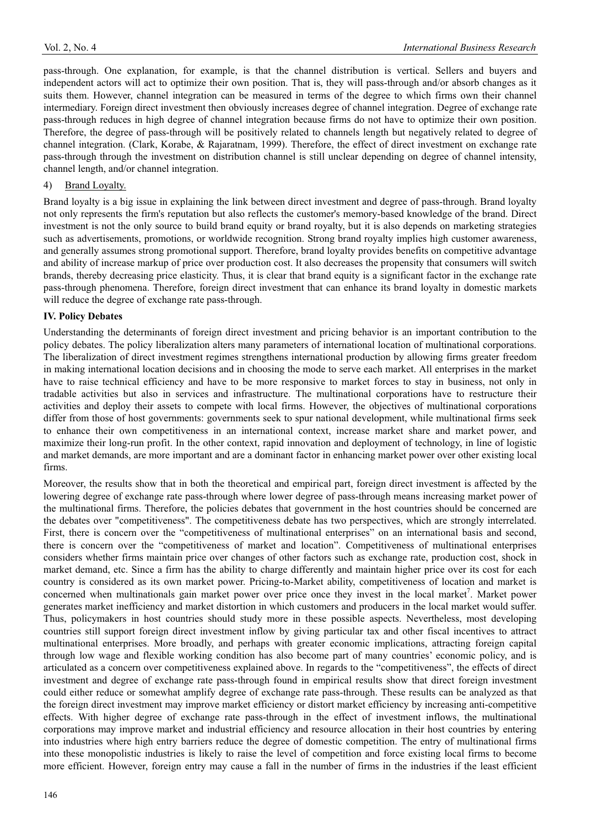pass-through. One explanation, for example, is that the channel distribution is vertical. Sellers and buyers and independent actors will act to optimize their own position. That is, they will pass-through and/or absorb changes as it suits them. However, channel integration can be measured in terms of the degree to which firms own their channel intermediary. Foreign direct investment then obviously increases degree of channel integration. Degree of exchange rate pass-through reduces in high degree of channel integration because firms do not have to optimize their own position. Therefore, the degree of pass-through will be positively related to channels length but negatively related to degree of channel integration. (Clark, Korabe, & Rajaratnam, 1999). Therefore, the effect of direct investment on exchange rate pass-through through the investment on distribution channel is still unclear depending on degree of channel intensity, channel length, and/or channel integration.

### 4) Brand Loyalty.

Brand loyalty is a big issue in explaining the link between direct investment and degree of pass-through. Brand loyalty not only represents the firm's reputation but also reflects the customer's memory-based knowledge of the brand. Direct investment is not the only source to build brand equity or brand royalty, but it is also depends on marketing strategies such as advertisements, promotions, or worldwide recognition. Strong brand royalty implies high customer awareness, and generally assumes strong promotional support. Therefore, brand loyalty provides benefits on competitive advantage and ability of increase markup of price over production cost. It also decreases the propensity that consumers will switch brands, thereby decreasing price elasticity. Thus, it is clear that brand equity is a significant factor in the exchange rate pass-through phenomena. Therefore, foreign direct investment that can enhance its brand loyalty in domestic markets will reduce the degree of exchange rate pass-through.

### **IV. Policy Debates**

Understanding the determinants of foreign direct investment and pricing behavior is an important contribution to the policy debates. The policy liberalization alters many parameters of international location of multinational corporations. The liberalization of direct investment regimes strengthens international production by allowing firms greater freedom in making international location decisions and in choosing the mode to serve each market. All enterprises in the market have to raise technical efficiency and have to be more responsive to market forces to stay in business, not only in tradable activities but also in services and infrastructure. The multinational corporations have to restructure their activities and deploy their assets to compete with local firms. However, the objectives of multinational corporations differ from those of host governments: governments seek to spur national development, while multinational firms seek to enhance their own competitiveness in an international context, increase market share and market power, and maximize their long-run profit. In the other context, rapid innovation and deployment of technology, in line of logistic and market demands, are more important and are a dominant factor in enhancing market power over other existing local firms.

Moreover, the results show that in both the theoretical and empirical part, foreign direct investment is affected by the lowering degree of exchange rate pass-through where lower degree of pass-through means increasing market power of the multinational firms. Therefore, the policies debates that government in the host countries should be concerned are the debates over "competitiveness". The competitiveness debate has two perspectives, which are strongly interrelated. First, there is concern over the "competitiveness of multinational enterprises" on an international basis and second, there is concern over the "competitiveness of market and location". Competitiveness of multinational enterprises considers whether firms maintain price over changes of other factors such as exchange rate, production cost, shock in market demand, etc. Since a firm has the ability to charge differently and maintain higher price over its cost for each country is considered as its own market power. Pricing-to-Market ability, competitiveness of location and market is concerned when multinationals gain market power over price once they invest in the local market<sup>7</sup>. Market power generates market inefficiency and market distortion in which customers and producers in the local market would suffer. Thus, policymakers in host countries should study more in these possible aspects. Nevertheless, most developing countries still support foreign direct investment inflow by giving particular tax and other fiscal incentives to attract multinational enterprises. More broadly, and perhaps with greater economic implications, attracting foreign capital through low wage and flexible working condition has also become part of many countries' economic policy, and is articulated as a concern over competitiveness explained above. In regards to the "competitiveness", the effects of direct investment and degree of exchange rate pass-through found in empirical results show that direct foreign investment could either reduce or somewhat amplify degree of exchange rate pass-through. These results can be analyzed as that the foreign direct investment may improve market efficiency or distort market efficiency by increasing anti-competitive effects. With higher degree of exchange rate pass-through in the effect of investment inflows, the multinational corporations may improve market and industrial efficiency and resource allocation in their host countries by entering into industries where high entry barriers reduce the degree of domestic competition. The entry of multinational firms into these monopolistic industries is likely to raise the level of competition and force existing local firms to become more efficient. However, foreign entry may cause a fall in the number of firms in the industries if the least efficient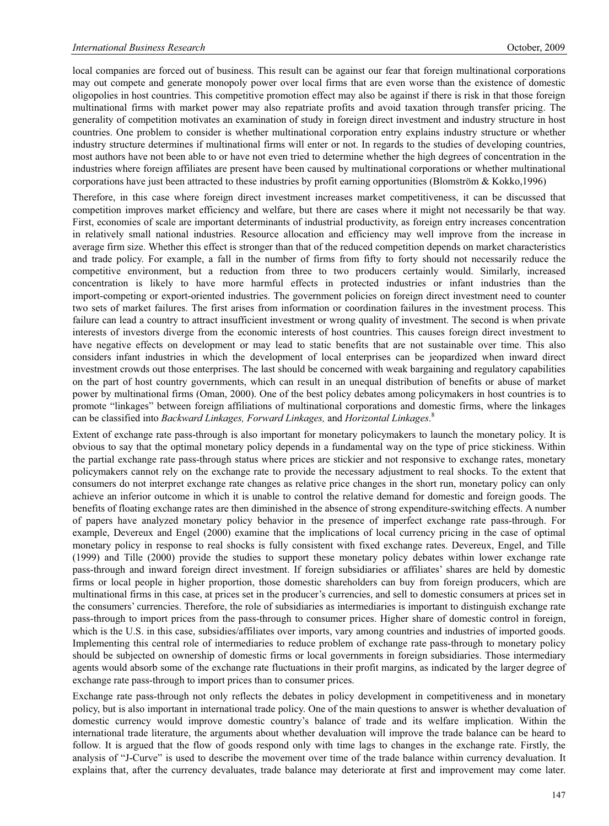local companies are forced out of business. This result can be against our fear that foreign multinational corporations may out compete and generate monopoly power over local firms that are even worse than the existence of domestic oligopolies in host countries. This competitive promotion effect may also be against if there is risk in that those foreign multinational firms with market power may also repatriate profits and avoid taxation through transfer pricing. The generality of competition motivates an examination of study in foreign direct investment and industry structure in host countries. One problem to consider is whether multinational corporation entry explains industry structure or whether industry structure determines if multinational firms will enter or not. In regards to the studies of developing countries, most authors have not been able to or have not even tried to determine whether the high degrees of concentration in the industries where foreign affiliates are present have been caused by multinational corporations or whether multinational corporations have just been attracted to these industries by profit earning opportunities (Blomström & Kokko,1996)

Therefore, in this case where foreign direct investment increases market competitiveness, it can be discussed that competition improves market efficiency and welfare, but there are cases where it might not necessarily be that way. First, economies of scale are important determinants of industrial productivity, as foreign entry increases concentration in relatively small national industries. Resource allocation and efficiency may well improve from the increase in average firm size. Whether this effect is stronger than that of the reduced competition depends on market characteristics and trade policy. For example, a fall in the number of firms from fifty to forty should not necessarily reduce the competitive environment, but a reduction from three to two producers certainly would. Similarly, increased concentration is likely to have more harmful effects in protected industries or infant industries than the import-competing or export-oriented industries. The government policies on foreign direct investment need to counter two sets of market failures. The first arises from information or coordination failures in the investment process. This failure can lead a country to attract insufficient investment or wrong quality of investment. The second is when private interests of investors diverge from the economic interests of host countries. This causes foreign direct investment to have negative effects on development or may lead to static benefits that are not sustainable over time. This also considers infant industries in which the development of local enterprises can be jeopardized when inward direct investment crowds out those enterprises. The last should be concerned with weak bargaining and regulatory capabilities on the part of host country governments, which can result in an unequal distribution of benefits or abuse of market power by multinational firms (Oman, 2000). One of the best policy debates among policymakers in host countries is to promote "linkages" between foreign affiliations of multinational corporations and domestic firms, where the linkages can be classified into *Backward Linkages, Forward Linkages,* and *Horizontal Linkages*. 8

Extent of exchange rate pass-through is also important for monetary policymakers to launch the monetary policy. It is obvious to say that the optimal monetary policy depends in a fundamental way on the type of price stickiness. Within the partial exchange rate pass-through status where prices are stickier and not responsive to exchange rates, monetary policymakers cannot rely on the exchange rate to provide the necessary adjustment to real shocks. To the extent that consumers do not interpret exchange rate changes as relative price changes in the short run, monetary policy can only achieve an inferior outcome in which it is unable to control the relative demand for domestic and foreign goods. The benefits of floating exchange rates are then diminished in the absence of strong expenditure-switching effects. A number of papers have analyzed monetary policy behavior in the presence of imperfect exchange rate pass-through. For example, Devereux and Engel (2000) examine that the implications of local currency pricing in the case of optimal monetary policy in response to real shocks is fully consistent with fixed exchange rates. Devereux, Engel, and Tille (1999) and Tille (2000) provide the studies to support these monetary policy debates within lower exchange rate pass-through and inward foreign direct investment. If foreign subsidiaries or affiliates' shares are held by domestic firms or local people in higher proportion, those domestic shareholders can buy from foreign producers, which are multinational firms in this case, at prices set in the producer's currencies, and sell to domestic consumers at prices set in the consumers' currencies. Therefore, the role of subsidiaries as intermediaries is important to distinguish exchange rate pass-through to import prices from the pass-through to consumer prices. Higher share of domestic control in foreign, which is the U.S. in this case, subsidies/affiliates over imports, vary among countries and industries of imported goods. Implementing this central role of intermediaries to reduce problem of exchange rate pass-through to monetary policy should be subjected on ownership of domestic firms or local governments in foreign subsidiaries. Those intermediary agents would absorb some of the exchange rate fluctuations in their profit margins, as indicated by the larger degree of exchange rate pass-through to import prices than to consumer prices.

Exchange rate pass-through not only reflects the debates in policy development in competitiveness and in monetary policy, but is also important in international trade policy. One of the main questions to answer is whether devaluation of domestic currency would improve domestic country's balance of trade and its welfare implication. Within the international trade literature, the arguments about whether devaluation will improve the trade balance can be heard to follow. It is argued that the flow of goods respond only with time lags to changes in the exchange rate. Firstly, the analysis of "J-Curve" is used to describe the movement over time of the trade balance within currency devaluation. It explains that, after the currency devaluates, trade balance may deteriorate at first and improvement may come later.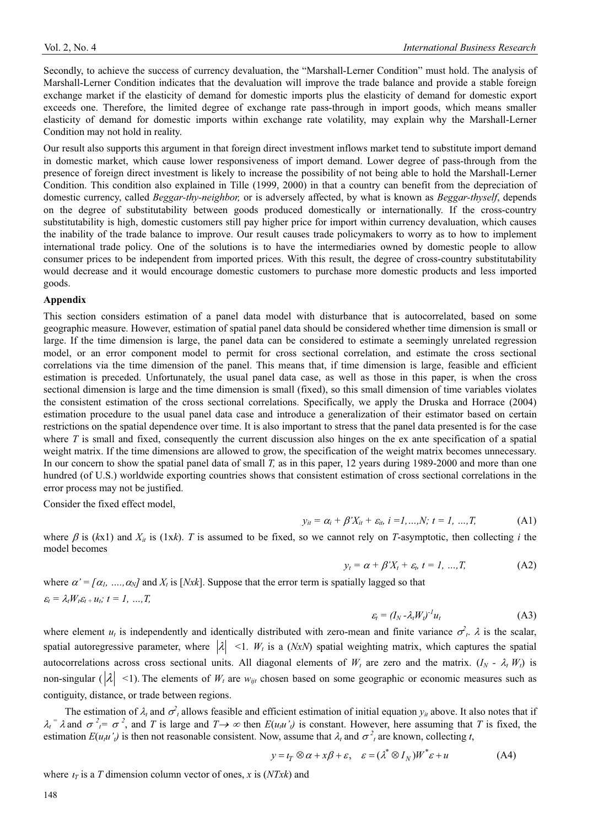Secondly, to achieve the success of currency devaluation, the "Marshall-Lerner Condition" must hold. The analysis of Marshall-Lerner Condition indicates that the devaluation will improve the trade balance and provide a stable foreign exchange market if the elasticity of demand for domestic imports plus the elasticity of demand for domestic export exceeds one. Therefore, the limited degree of exchange rate pass-through in import goods, which means smaller elasticity of demand for domestic imports within exchange rate volatility, may explain why the Marshall-Lerner Condition may not hold in reality.

Our result also supports this argument in that foreign direct investment inflows market tend to substitute import demand in domestic market, which cause lower responsiveness of import demand. Lower degree of pass-through from the presence of foreign direct investment is likely to increase the possibility of not being able to hold the Marshall-Lerner Condition. This condition also explained in Tille (1999, 2000) in that a country can benefit from the depreciation of domestic currency, called *Beggar-thy-neighbor,* or is adversely affected, by what is known as *Beggar-thyself*, depends on the degree of substitutability between goods produced domestically or internationally. If the cross-country substitutability is high, domestic customers still pay higher price for import within currency devaluation, which causes the inability of the trade balance to improve. Our result causes trade policymakers to worry as to how to implement international trade policy. One of the solutions is to have the intermediaries owned by domestic people to allow consumer prices to be independent from imported prices. With this result, the degree of cross-country substitutability would decrease and it would encourage domestic customers to purchase more domestic products and less imported goods.

#### **Appendix**

This section considers estimation of a panel data model with disturbance that is autocorrelated, based on some geographic measure. However, estimation of spatial panel data should be considered whether time dimension is small or large. If the time dimension is large, the panel data can be considered to estimate a seemingly unrelated regression model, or an error component model to permit for cross sectional correlation, and estimate the cross sectional correlations via the time dimension of the panel. This means that, if time dimension is large, feasible and efficient estimation is preceded. Unfortunately, the usual panel data case, as well as those in this paper, is when the cross sectional dimension is large and the time dimension is small (fixed), so this small dimension of time variables violates the consistent estimation of the cross sectional correlations. Specifically, we apply the Druska and Horrace (2004) estimation procedure to the usual panel data case and introduce a generalization of their estimator based on certain restrictions on the spatial dependence over time. It is also important to stress that the panel data presented is for the case where  $T$  is small and fixed, consequently the current discussion also hinges on the ex ante specification of a spatial weight matrix. If the time dimensions are allowed to grow, the specification of the weight matrix becomes unnecessary. In our concern to show the spatial panel data of small *T,* as in this paper, 12 years during 1989-2000 and more than one hundred (of U.S.) worldwide exporting countries shows that consistent estimation of cross sectional correlations in the error process may not be justified.

Consider the fixed effect model,

$$
y_{it} = \alpha_i + \beta' X_{it} + \varepsilon_{it}, \ i = 1, ..., N; \ t = 1, ..., T,
$$
 (A1)

where  $\beta$  is ( $kx1$ ) and  $X_i$  is ( $1xk$ ). *T* is assumed to be fixed, so we cannot rely on *T*-asymptotic, then collecting *i* the model becomes

$$
y_t = \alpha + \beta' X_t + \varepsilon_b \ t = 1, \dots, T,
$$
 (A2)

where  $\alpha' = [\alpha_1, ..., \alpha_N]$  and  $X_t$  is [*Nxk*]. Suppose that the error term is spatially lagged so that  $\varepsilon_t = \lambda_t W_t \varepsilon_t + u_t$ ;  $t = 1, ..., T$ 

$$
\varepsilon_t = (I_N - \lambda_t W_t)^{-1} u_t \tag{A3}
$$

where element  $u_t$  is independently and identically distributed with zero-mean and finite variance  $\sigma_t^2$ .  $\lambda$  is the scalar, spatial autoregressive parameter, where  $|\lambda|$  <1*. W<sub>t</sub>* is a (*NxN*) spatial weighting matrix, which captures the spatial autocorrelations across cross sectional units. All diagonal elements of  $W_t$  are zero and the matrix.  $(I_N - \lambda_t W_t)$  is non-singular ( $|\lambda|$  <1). The elements of  $W_t$  are  $w_{ijt}$  chosen based on some geographic or economic measures such as contiguity, distance, or trade between regions.

The estimation of  $\lambda_t$  and  $\sigma_t^2$  allows feasible and efficient estimation of initial equation  $y_{it}$  above. It also notes that if  $\lambda_t = \lambda$  and  $\sigma^2_t = \sigma^2$ , and *T* is large and  $T \to \infty$  then  $E(u_t u'v)$  is constant. However, here assuming that *T* is fixed, the estimation  $E(u_i u'_i)$  is then not reasonable consistent. Now, assume that  $\lambda_i$  and  $\sigma_i^2$  are known, collecting *t*,

$$
y = t_T \otimes \alpha + x\beta + \varepsilon, \quad \varepsilon = (\lambda^* \otimes I_N)W^* \varepsilon + u \tag{A4}
$$

where  $\iota_T$  is a *T* dimension column vector of ones, *x* is (*NTxk*) and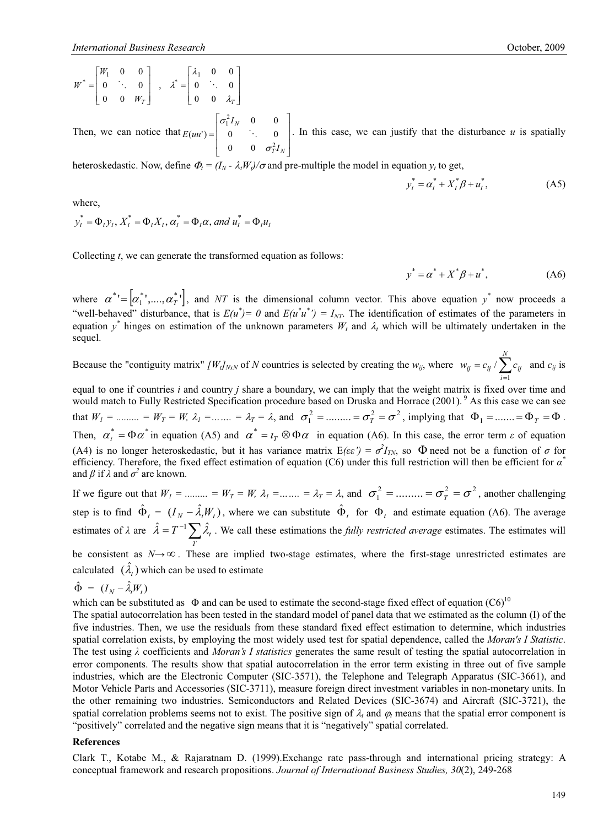$$
W^* = \begin{bmatrix} W_1 & 0 & 0 \\ 0 & \ddots & 0 \\ 0 & 0 & W_T \end{bmatrix} , \quad \lambda^* = \begin{bmatrix} \lambda_1 & 0 & 0 \\ 0 & \ddots & 0 \\ 0 & 0 & \lambda_T \end{bmatrix}
$$

Then, we can notice that » » » ¼ º  $\mathbf{r}$  $\parallel$  $\parallel$  $\lfloor$  $\mathbf{r}$  $=$  $T^{\prime} N$ *N I I E uu* 2 2 1 0 0  $0 \qquad \qquad 0$ 0 0  $(uu')$  $\sigma$  $\begin{bmatrix} \sigma_1^T I_N & 0 & 0 \\ 0 & \ddots & 0 \end{bmatrix}$ . In this case, we can justify that the disturbance *u* is spatially

heteroskedastic. Now, define  $\Phi_t = (I_N - \lambda_t W_t)/\sigma$  and pre-multiple the model in equation  $y_t$  to get,

$$
y_t^* = \alpha_t^* + X_t^* \beta + u_t^*,
$$
 (A5)

where,

$$
y_t^* = \Phi_t y_t, X_t^* = \Phi_t X_t, \alpha_t^* = \Phi_t \alpha
$$
, and  $u_t^* = \Phi_t u_t$ 

Collecting *t*, we can generate the transformed equation as follows:

$$
y^* = \alpha^* + X^* \beta + u^*, \tag{A6}
$$

where  $\alpha^* = [\alpha_1^*, \dots, \alpha_T^*]$ , and *NT* is the dimensional column vector. This above equation  $y^*$  now proceeds a "well-behaved" disturbance, that is  $E(u^*) = 0$  and  $E(u^*u^*) = I_{NT}$ . The identification of estimates of the parameters in equation  $y^*$  hinges on estimation of the unknown parameters  $W_t$  and  $\lambda_t$  which will be ultimately undertaken in the sequel.

Because the "contiguity matrix" *[W<sub>UNxN</sub>* of *N* countries is selected by creating the  $w_{ij}$ , where  $w_{ij} = c_{ij} / \sum_{i=1}^{N} \sum_{j=1}^{N} \sum_{j=1}^{N} \sum_{j=1}^{N} \sum_{j=1}^{N} \sum_{j=1}^{N} \sum_{j=1}^{N} \sum_{j=1}^{N} \sum_{j=1}^{N} \sum_{j=1}^{N} \sum_{j=1}^{$ *N i*  $w_{ij} = c_{ij} / \sum c_{ij}$ 1  $\left(\sum_{ij} c_{ij}\right)$  and  $c_{ij}$  is

equal to one if countries *i* and country *j* share a boundary, we can imply that the weight matrix is fixed over time and would match to Fully Restricted Specification procedure based on Druska and Horrace (2001). <sup>9</sup> As this case we can see that  $W_1 = \dots = W_T = W$ ,  $\lambda_1 = \dots = \lambda_T = \lambda$ , and  $\sigma_1^2 = \dots = \sigma_T^2 = \sigma^2$ , implying that  $\Phi_1 = \dots = \Phi_T = \Phi$ . Then,  $\alpha_t^* = \Phi \alpha^*$  in equation (A5) and  $\alpha^* = \iota_T \otimes \Phi \alpha$  in equation (A6). In this case, the error term  $\epsilon$  of equation (A4) is no longer heteroskedastic, but it has variance matrix  $E(\epsilon \epsilon') = \sigma^2 I_{TN}$ , so  $\Phi$  need not be a function of  $\sigma$  for efficiency. Therefore, the fixed effect estimation of equation (C6) under this full restriction will then be efficient for  $\alpha^*$ and  $\beta$  if  $\lambda$  and  $\sigma^2$  are known.

If we figure out that  $W_I =$  ......... =  $W_T = W$ ,  $\lambda_I =$  ....... =  $\lambda_T = \lambda$ , and  $\sigma_1^2 =$  ........ =  $\sigma_T^2 = \sigma^2$ , another challenging step is to find  $\hat{\Phi}_t = (I_N - \hat{\lambda}_t W_t)$ , where we can substitute  $\hat{\Phi}_t$  for  $\Phi_t$  and estimate equation (A6). The average estimates of  $\lambda$  are  $\hat{\lambda} = T^{-1} \sum_{T}$  $\hat{\lambda} = T^{-1} \sum \hat{\lambda}_t$ . We call these estimations the *fully restricted average* estimates. The estimates will

be consistent as  $N \rightarrow \infty$ . These are implied two-stage estimates, where the first-stage unrestricted estimates are calculated  $(\hat{\lambda}_t)$  which can be used to estimate

$$
\hat{\Phi} = (I_N - \hat{\lambda}_t W_t)
$$

which can be substituted as  $\Phi$  and can be used to estimate the second-stage fixed effect of equation (C6)<sup>10</sup>

The spatial autocorrelation has been tested in the standard model of panel data that we estimated as the column (I) of the five industries. Then, we use the residuals from these standard fixed effect estimation to determine, which industries spatial correlation exists, by employing the most widely used test for spatial dependence, called the *Moran's I Statistic*. The test using  $\lambda$  coefficients and *Moran's I statistics* generates the same result of testing the spatial autocorrelation in error components. The results show that spatial autocorrelation in the error term existing in three out of five sample industries, which are the Electronic Computer (SIC-3571), the Telephone and Telegraph Apparatus (SIC-3661), and Motor Vehicle Parts and Accessories (SIC-3711), measure foreign direct investment variables in non-monetary units. In the other remaining two industries. Semiconductors and Related Devices (SIC-3674) and Aircraft (SIC-3721), the spatial correlation problems seems not to exist. The positive sign of  $\lambda_t$  and  $\varphi_t$  means that the spatial error component is "positively" correlated and the negative sign means that it is "negatively" spatial correlated.

## **References**

Clark T., Kotabe M., & Rajaratnam D. (1999).Exchange rate pass-through and international pricing strategy: A conceptual framework and research propositions. *Journal of International Business Studies, 30*(2), 249-268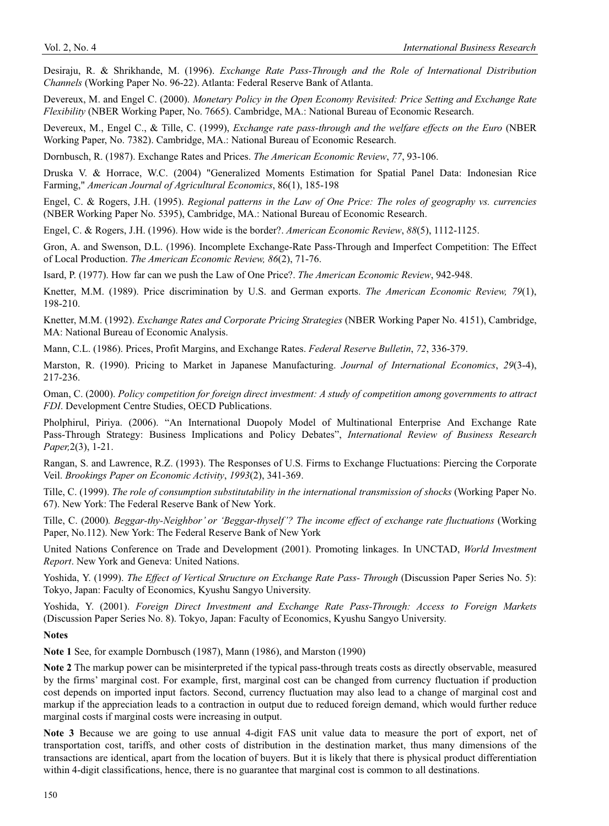Desiraju, R. & Shrikhande, M. (1996). *Exchange Rate Pass-Through and the Role of International Distribution Channels* (Working Paper No. 96-22). Atlanta: Federal Reserve Bank of Atlanta.

Devereux, M. and Engel C. (2000). *Monetary Policy in the Open Economy Revisited: Price Setting and Exchange Rate Flexibility* (NBER Working Paper, No. 7665). Cambridge, MA.: National Bureau of Economic Research.

Devereux, M., Engel C., & Tille, C. (1999), *Exchange rate pass-through and the welfare effects on the Euro* (NBER Working Paper, No. 7382). Cambridge, MA.: National Bureau of Economic Research.

Dornbusch, R. (1987). Exchange Rates and Prices. *The American Economic Review*, *77*, 93-106.

Druska V. & Horrace, W.C. (2004) "Generalized Moments Estimation for Spatial Panel Data: Indonesian Rice Farming," *American Journal of Agricultural Economics*, 86(1), 185-198

Engel, C. & Rogers, J.H. (1995). *Regional patterns in the Law of One Price: The roles of geography vs. currencies*  (NBER Working Paper No. 5395), Cambridge, MA.: National Bureau of Economic Research.

Engel, C. & Rogers, J.H. (1996). How wide is the border?. *American Economic Review*, *88*(5), 1112-1125.

Gron, A. and Swenson, D.L. (1996). Incomplete Exchange-Rate Pass-Through and Imperfect Competition: The Effect of Local Production. *The American Economic Review, 86*(2), 71-76.

Isard, P. (1977). How far can we push the Law of One Price?. *The American Economic Review*, 942-948.

Knetter, M.M. (1989). Price discrimination by U.S. and German exports. *The American Economic Review, 79*(1), 198-210.

Knetter, M.M. (1992). *Exchange Rates and Corporate Pricing Strategies* (NBER Working Paper No. 4151), Cambridge, MA: National Bureau of Economic Analysis.

Mann, C.L. (1986). Prices, Profit Margins, and Exchange Rates. *Federal Reserve Bulletin*, *72*, 336-379.

Marston, R. (1990). Pricing to Market in Japanese Manufacturing. *Journal of International Economics*, *29*(3-4), 217-236.

Oman, C. (2000). *Policy competition for foreign direct investment: A study of competition among governments to attract FDI*. Development Centre Studies, OECD Publications.

Pholphirul, Piriya. (2006). "An International Duopoly Model of Multinational Enterprise And Exchange Rate Pass-Through Strategy: Business Implications and Policy Debates", *International Review of Business Research Paper,*2(3), 1-21.

Rangan, S. and Lawrence, R.Z. (1993). The Responses of U.S. Firms to Exchange Fluctuations: Piercing the Corporate Veil. *Brookings Paper on Economic Activity*, *1993*(2), 341-369.

Tille, C. (1999). *The role of consumption substitutability in the international transmission of shocks* (Working Paper No. 67). New York: The Federal Reserve Bank of New York.

Tille, C. (2000)*. Beggar-thy-Neighbor' or 'Beggar-thyself'? The income effect of exchange rate fluctuations* (Working Paper, No.112). New York: The Federal Reserve Bank of New York

United Nations Conference on Trade and Development (2001). Promoting linkages. In UNCTAD, *World Investment Report*. New York and Geneva: United Nations.

Yoshida, Y. (1999). *The Effect of Vertical Structure on Exchange Rate Pass- Through* (Discussion Paper Series No. 5): Tokyo, Japan: Faculty of Economics, Kyushu Sangyo University.

Yoshida, Y. (2001). *Foreign Direct Investment and Exchange Rate Pass-Through: Access to Foreign Markets* (Discussion Paper Series No. 8). Tokyo, Japan: Faculty of Economics, Kyushu Sangyo University.

**Notes** 

**Note 1** See, for example Dornbusch (1987), Mann (1986), and Marston (1990)

**Note 2** The markup power can be misinterpreted if the typical pass-through treats costs as directly observable, measured by the firms' marginal cost. For example, first, marginal cost can be changed from currency fluctuation if production cost depends on imported input factors. Second, currency fluctuation may also lead to a change of marginal cost and markup if the appreciation leads to a contraction in output due to reduced foreign demand, which would further reduce marginal costs if marginal costs were increasing in output.

**Note 3** Because we are going to use annual 4-digit FAS unit value data to measure the port of export, net of transportation cost, tariffs, and other costs of distribution in the destination market, thus many dimensions of the transactions are identical, apart from the location of buyers. But it is likely that there is physical product differentiation within 4-digit classifications, hence, there is no guarantee that marginal cost is common to all destinations.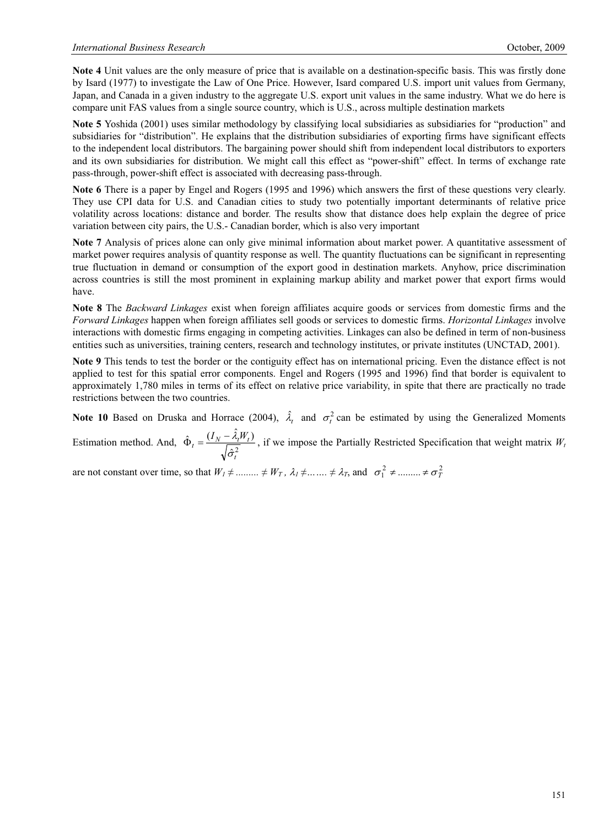**Note 4** Unit values are the only measure of price that is available on a destination-specific basis. This was firstly done by Isard (1977) to investigate the Law of One Price. However, Isard compared U.S. import unit values from Germany, Japan, and Canada in a given industry to the aggregate U.S. export unit values in the same industry. What we do here is compare unit FAS values from a single source country, which is U.S., across multiple destination markets

**Note 5** Yoshida (2001) uses similar methodology by classifying local subsidiaries as subsidiaries for "production" and subsidiaries for "distribution". He explains that the distribution subsidiaries of exporting firms have significant effects to the independent local distributors. The bargaining power should shift from independent local distributors to exporters and its own subsidiaries for distribution. We might call this effect as "power-shift" effect. In terms of exchange rate pass-through, power-shift effect is associated with decreasing pass-through.

**Note 6** There is a paper by Engel and Rogers (1995 and 1996) which answers the first of these questions very clearly. They use CPI data for U.S. and Canadian cities to study two potentially important determinants of relative price volatility across locations: distance and border. The results show that distance does help explain the degree of price variation between city pairs, the U.S.- Canadian border, which is also very important

**Note 7** Analysis of prices alone can only give minimal information about market power. A quantitative assessment of market power requires analysis of quantity response as well. The quantity fluctuations can be significant in representing true fluctuation in demand or consumption of the export good in destination markets. Anyhow, price discrimination across countries is still the most prominent in explaining markup ability and market power that export firms would have.

**Note 8** The *Backward Linkages* exist when foreign affiliates acquire goods or services from domestic firms and the *Forward Linkages* happen when foreign affiliates sell goods or services to domestic firms. *Horizontal Linkages* involve interactions with domestic firms engaging in competing activities. Linkages can also be defined in term of non-business entities such as universities, training centers, research and technology institutes, or private institutes (UNCTAD, 2001).

**Note 9** This tends to test the border or the contiguity effect has on international pricing. Even the distance effect is not applied to test for this spatial error components. Engel and Rogers (1995 and 1996) find that border is equivalent to approximately 1,780 miles in terms of its effect on relative price variability, in spite that there are practically no trade restrictions between the two countries.

**Note 10** Based on Druska and Horrace (2004),  $\hat{\lambda}_t$  and  $\sigma_t^2$  can be estimated by using the Generalized Moments

Estimation method. And,  $\hat{\sigma}^2_t$  $\hat{\mathbf{D}}_t = \frac{(I_N - \hat{\lambda}_t W_t)}{H}$ *t*  $t = \frac{(I_N - \lambda_t W_t)}{\sqrt{1.2}}$  $\sigma$  $\hat{\Phi}_t = \frac{(I_N - \lambda_t W_t)}{\sqrt{N}}$ , if we impose the Partially Restricted Specification that weight matrix  $W_t$ 

are not constant over time, so that  $W_1 \neq \dots \dots \neq W_T$ ,  $\lambda_1 \neq \dots \dots \neq \lambda_T$ , and  $\sigma_1^2 \neq \dots \dots \neq \sigma_T^2$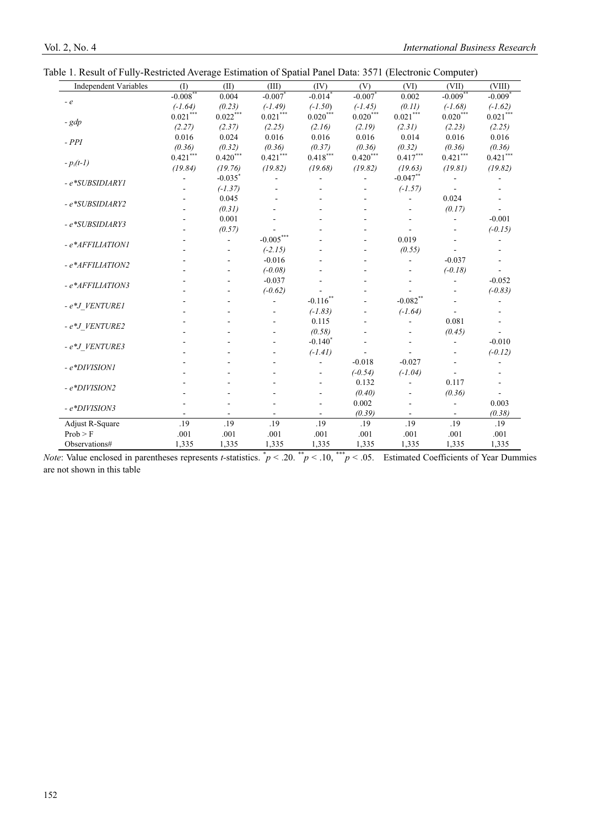|  | Table 1. Result of Fully-Restricted Average Estimation of Spatial Panel Data: 3571 (Electronic Computer) |  |
|--|----------------------------------------------------------------------------------------------------------|--|
|  |                                                                                                          |  |

| <b>Independent Variables</b> | (1)           | (II)           | (III)                    | (IV)                     | (V)                      | (VI)                     | (VII)                    | (VIII)                   |
|------------------------------|---------------|----------------|--------------------------|--------------------------|--------------------------|--------------------------|--------------------------|--------------------------|
|                              | $-0.008***$   | 0.004          | $-0.007$ *               | $-0.014$ *               | $-0.007*$                | 0.002                    | $-0.009**$               | $-0.009*$                |
| - $\boldsymbol{e}$           | $(-1.64)$     | (0.23)         | $(-1.49)$                | $(-1.50)$                | $(-1.45)$                | (0.11)                   | $(-1.68)$                | $(-1.62)$                |
|                              | $0.021***$    | $0.022***$     | $0.021***$               | $0.020***$               | $0.020***$               | $0.021***$               | $0.020***$               | $0.021***$               |
| $-gdp$                       | (2.27)        | (2.37)         | (2.25)                   | (2.16)                   | (2.19)                   | (2.31)                   | (2.23)                   | (2.25)                   |
| $ PPI$                       | 0.016         | 0.024          | 0.016                    | 0.016                    | 0.016                    | 0.014                    | 0.016                    | 0.016                    |
|                              | (0.36)        | (0.32)         | (0.36)                   | (0.37)                   | (0.36)                   | (0.32)                   | (0.36)                   | (0.36)                   |
|                              | $0.421***$    | $0.420***$     | $0.421^{\ast\ast\ast}$   | $0.418^{***}\,$          | $0.420***$               | $0.417^{\ast\ast\ast}$   | $0.421***$               | $0.421^{\ast\ast\ast}$   |
| $-p_i(t-1)$                  | (19.84)       | (19.76)        | (19.82)                  | (19.68)                  | (19.82)                  | (19.63)                  | (19.81)                  | (19.82)                  |
| - e*SUBSIDIARY1              | $\frac{1}{2}$ | $-0.035$ *     | ÷,                       |                          | ٠                        | $-0.047$ **              |                          |                          |
|                              |               | $(-1.37)$      |                          |                          |                          | $(-1.57)$                | $\frac{1}{2}$            |                          |
| - e*SUBSIDIARY2              |               | 0.045          |                          |                          |                          | $\blacksquare$           | 0.024                    |                          |
|                              |               | (0.31)         |                          |                          |                          |                          | (0.17)                   |                          |
| - e*SUBSIDIARY3              |               | 0.001          |                          |                          |                          |                          | $\overline{\phantom{a}}$ | $-0.001$                 |
|                              |               | (0.57)         |                          |                          |                          |                          |                          | $(-0.15)$                |
| - e*AFFILIATION1             |               | $\blacksquare$ | $\textbf{-0.005}^{***}$  |                          |                          | 0.019                    |                          | $\blacksquare$           |
|                              |               |                | $(-2.15)$                |                          | $\overline{\phantom{a}}$ | (0.55)                   |                          |                          |
| - e*AFFILIATION2             |               |                | $-0.016$                 |                          |                          | $\blacksquare$           | $-0.037$                 |                          |
|                              |               |                | $(-0.08)$                |                          |                          |                          | $(-0.18)$                |                          |
| - e*AFFILIATION3             |               |                | $-0.037$                 |                          |                          |                          |                          | $-0.052$                 |
|                              |               |                | $(-0.62)$                |                          |                          |                          |                          | $(-0.83)$                |
| $-e^*J_VENTURE1$             |               |                | $\overline{\phantom{a}}$ | $-0.116$ **              |                          | $-0.082**$               |                          |                          |
|                              |               |                |                          | $(-1.83)$                |                          | $(-1.64)$                |                          |                          |
| $-e*J_VENTURE2$              |               |                |                          | 0.115                    |                          |                          | 0.081                    |                          |
|                              |               |                |                          | (0.58)                   |                          |                          | (0.45)                   |                          |
| $-e^*J$ VENTURE3             |               |                |                          | $-0.140*$                |                          |                          | $\overline{\phantom{a}}$ | $-0.010$                 |
|                              |               |                |                          | $(-1.41)$                |                          |                          |                          | $(-0.12)$                |
| - e*DIVISION1                |               |                |                          | ÷,                       | $-0.018$                 | $-0.027$                 |                          | $\overline{\phantom{a}}$ |
|                              |               |                |                          |                          | $(-0.54)$                | $(-1.04)$                | $\frac{1}{2}$            |                          |
| - e*DIVISION2                |               |                |                          | Ξ.                       | 0.132                    | $\overline{\phantom{a}}$ | 0.117                    |                          |
|                              |               |                | ٠                        | $\overline{\phantom{0}}$ | (0.40)                   | $\overline{\phantom{a}}$ | (0.36)                   | $\blacksquare$           |
| - e*DIVISION3                |               |                | $\overline{\phantom{a}}$ | $\overline{a}$           | 0.002                    | $\blacksquare$           | $\frac{1}{2}$            | 0.003                    |
|                              |               |                | $\sim$                   |                          | (0.39)                   |                          | $\overline{\phantom{a}}$ | (0.38)                   |
| Adjust R-Square              | .19           | .19            | .19                      | .19                      | .19                      | .19                      | .19                      | .19                      |
| Prob > F                     | .001          | .001           | .001                     | .001                     | .001                     | .001                     | .001                     | .001                     |
| Observations#                | 1,335         | 1,335          | 1,335                    | 1,335                    | 1,335                    | 1,335                    | 1,335                    | 1,335                    |

*Note*: Value enclosed in parentheses represents *t*-statistics.  $\dot{p}$  < .20.  $\dot{p}$  < .10,  $\dot{p}$  × .10, Estimated Coefficients of Year Dummies are not shown in this table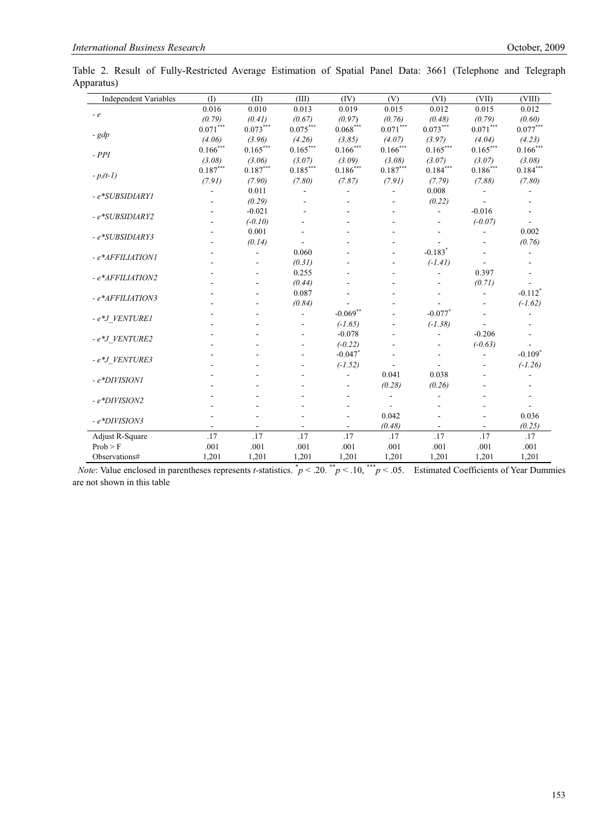Table 2. Result of Fully-Restricted Average Estimation of Spatial Panel Data: 3661 (Telephone and Telegraph Apparatus)

| <b>Independent Variables</b> | (1)            | (II)                     | (III)                    | (IV)                     | (V)                      | (VI)                     | (VII)                    | (VIII)                |
|------------------------------|----------------|--------------------------|--------------------------|--------------------------|--------------------------|--------------------------|--------------------------|-----------------------|
|                              | 0.016          | 0.010                    | 0.013                    | 0.019                    | 0.015                    | 0.012                    | 0.015                    | 0.012                 |
| - $\boldsymbol{e}$           | (0.79)         | (0.41)                   | (0.67)                   | (0.97)                   | (0.76)                   | (0.48)                   | (0.79)                   | (0.60)                |
|                              | $0.071***$     | $0.073***$               | $0.075***$               | $0.068***$               | $0.071^{\ast\ast\ast}$   | $0.073***$               | $0.071***$               | $0.077***$            |
| - gdp                        | (4.06)         | (3.96)                   | (4.26)                   | (3.85)                   | (4.07)                   | (3.97)                   | (4.04)                   | (4.23)                |
|                              | $0.166$ ***    | $0.165***$               | $0.165^{***}$            | $0.166$ ***              | $0.166$ <sup>***</sup>   | $0.165***$               | $0.165***$               | $0.166$ ***           |
| $ PPI$                       | (3.08)         | (3.06)                   | (3.07)                   | (3.09)                   | (3.08)                   | (3.07)                   | (3.07)                   | (3.08)                |
|                              | $0.187***$     | $0.187^{\ast\ast\ast}$   | $0.185***$               | $0.186^{\ast\ast\ast}$   | $0.187^{\ast\ast\ast}$   | $0.184^{***}$            | $0.186\overset{***}{}$   | $0.184^{***}\,$       |
| $-p_i(t-1)$                  | (7.91)         | (7.90)                   | (7.80)                   | (7.87)                   | (7.91)                   | (7.79)                   | (7.88)                   | (7.80)                |
|                              |                | 0.011                    |                          |                          | ÷                        | 0.008                    |                          |                       |
| - e*SUBSIDIARY1              |                | (0.29)                   | $\overline{a}$           |                          |                          | (0.22)                   |                          |                       |
|                              |                | $-0.021$                 |                          |                          | ٠                        | $\blacksquare$           | $-0.016$                 |                       |
| - e*SUBSIDIARY2              | $\blacksquare$ | $(-0.10)$                |                          |                          | ٠                        |                          | $(-0.07)$                |                       |
| - e*SUBSIDIARY3              |                | 0.001                    |                          |                          | ۰                        |                          | $\overline{a}$           | 0.002                 |
|                              |                | (0.14)                   | $\overline{\phantom{a}}$ |                          | ٠                        | $\overline{\phantom{a}}$ |                          | (0.76)                |
| - e*AFFILIATION1             |                | $\overline{\phantom{a}}$ | 0.060                    |                          | ٠                        | $-0.183$ <sup>*</sup>    |                          |                       |
|                              |                | ÷                        | (0.31)                   |                          | ÷                        | $(-1.41)$                |                          |                       |
| - e*AFFILIATION2             |                | $\blacksquare$           | 0.255                    |                          | ÷                        | $\overline{\phantom{0}}$ | 0.397                    |                       |
|                              |                | $\blacksquare$           | (0.44)                   |                          |                          |                          | (0.71)                   |                       |
| - e*AFFILIATION3             |                |                          | 0.087                    |                          |                          |                          | $\overline{a}$           | $-0.112$ <sup>*</sup> |
|                              |                | ÷                        | (0.84)                   |                          |                          |                          |                          | $(-1.62)$             |
| $-e*J_VENTURE1$              |                |                          | $\blacksquare$           | $-0.069$ **              | ÷                        | $-0.077$ <sup>*</sup>    |                          |                       |
|                              |                |                          | $\blacksquare$           | $(-1.65)$                | L,                       | $(-1.38)$                |                          |                       |
| $-e*J$ VENTURE2              |                |                          |                          | $-0.078$                 | L,                       |                          | $-0.206$                 |                       |
|                              |                |                          |                          | $(-0.22)$                |                          |                          | $(-0.63)$                |                       |
| $-e*J$ VENTURE3              |                |                          |                          | $-0.047$ *               |                          |                          |                          | $-0.109*$             |
|                              |                |                          |                          | $(-1.52)$                |                          |                          |                          | $(-1.26)$             |
| - e*DIVISION1                |                |                          |                          |                          | 0.041                    | 0.038                    |                          |                       |
|                              |                |                          |                          | $\overline{\phantom{a}}$ | (0.28)                   | (0.26)                   |                          |                       |
| - e*DIVISION2                |                |                          |                          | $\overline{a}$           | $\overline{\phantom{a}}$ | $\overline{a}$           |                          |                       |
|                              |                |                          |                          | ۰                        |                          |                          |                          |                       |
| - e*DIVISION3                |                |                          | $\overline{\phantom{a}}$ |                          | 0.042                    |                          | $\overline{\phantom{a}}$ | 0.036                 |
|                              |                |                          |                          |                          | (0.48)                   | $\overline{\phantom{a}}$ | $\blacksquare$           | (0.25)                |
| Adjust R-Square              | .17            | .17                      | .17                      | .17                      | .17                      | .17                      | .17                      | .17                   |
| Prob > F                     | .001           | .001                     | .001                     | .001                     | .001                     | .001                     | .001                     | .001                  |
| Observations#                | 1,201          | 1,201                    | 1,201                    | 1,201                    | 1,201                    | 1,201                    | 1,201                    | 1,201                 |

*Note*: Value enclosed in parentheses represents *t*-statistics.  $\dot{p}$  < .20.  $\dot{p}$  < .10,  $\dot{p}$  < .10,  $\dot{p}$  < .05. Estimated Coefficients of Year Dummies are not shown in this table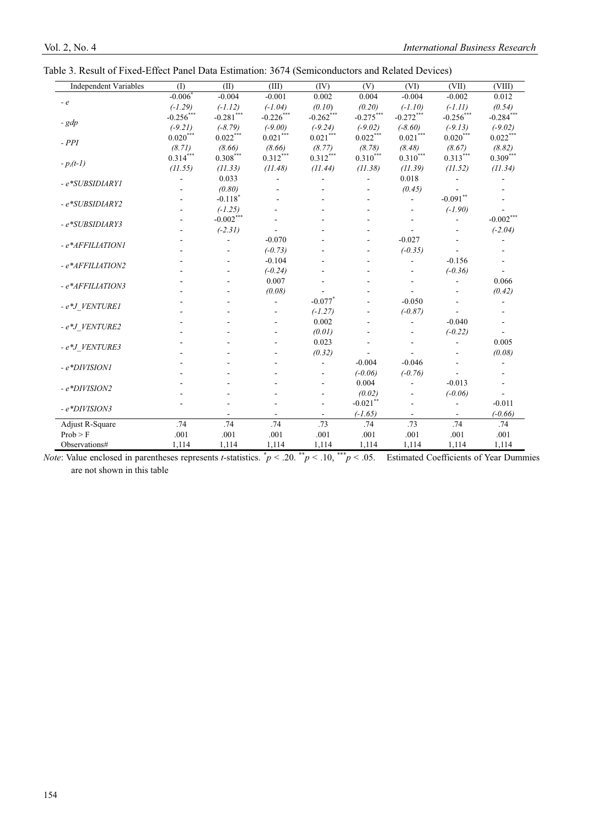| Table 3. Result of Fixed-Effect Panel Data Estimation: 3674 (Semiconductors and Related Devices) |  |
|--------------------------------------------------------------------------------------------------|--|
|--------------------------------------------------------------------------------------------------|--|

| <b>Independent Variables</b> | (1)                      | (II)                     | (III)          | (IV)        | (V)                      | (VI)                     | (VII)                           | (VIII)                  |
|------------------------------|--------------------------|--------------------------|----------------|-------------|--------------------------|--------------------------|---------------------------------|-------------------------|
| $-e$                         | $-0.006*$                | $-0.004$                 | $-0.001$       | 0.002       | 0.004                    | $-0.004$                 | $-0.002$                        | 0.012                   |
|                              | $(-1.29)$                | $(-1.12)$                | $(-1.04)$      | (0.10)      | (0.20)                   | $(-1.10)$                | $(-1.11)$                       | (0.54)                  |
|                              | $-0.256***$              | $-0.281$ ***             | $-0.226***$    | $-0.262***$ | $-0.275***$              | $-0.272***$              | $-0.256***$                     | $-0.284***$             |
| - gdp                        | $(-9.21)$                | $(-8.79)$                | $(-9.00)$      | $(-9.24)$   | $(-9.02)$                | $(-8.60)$                | $(-9.13)$                       | $(-9.02)$               |
| $ PPI$                       | $0.020***$               | $0.022***$               | $0.021***$     | $0.021***$  | $0.022***$               | $0.021***$               | $0.020***$                      | $0.022***$              |
|                              | (8.71)                   | (8.66)                   | (8.66)         | (8.77)      | (8.78)                   | (8.48)                   | (8.67)                          | (8.82)                  |
|                              | $0.314***$               | $0.308***$               | $0.312^{***}$  | $0.312***$  | $0.310***$               | $0.310***$               | $0.313***$                      | $0.309***$              |
| $-p_i(t-1)$                  | (11.55)                  | (11.33)                  | (11.48)        | (11.44)     | (11.38)                  | (11.39)                  | (11.52)                         | (11.34)                 |
|                              | $\overline{\phantom{0}}$ | 0.033                    |                |             |                          | 0.018                    |                                 |                         |
| - e*SUBSIDIARY1              |                          | (0.80)                   |                |             |                          | (0.45)                   | $\blacksquare$                  |                         |
|                              |                          | $-0.118$ <sup>*</sup>    |                |             |                          | $\blacksquare$           | $\textbf{-0.091}^{\ast\ast}$    |                         |
| - e*SUBSIDIARY2              |                          | $(-1.25)$                |                |             |                          |                          | $(-1.90)$                       |                         |
|                              |                          | $-0.002***$              |                |             |                          |                          | $\blacksquare$                  | $\textbf{-0.002}^{***}$ |
| - e*SUBSIDIARY3              |                          | $(-2.31)$                |                |             |                          |                          |                                 | $(-2.04)$               |
|                              |                          | $\overline{\phantom{a}}$ | $-0.070$       |             |                          | $-0.027$                 |                                 |                         |
| - e*AFFILIATION1             |                          |                          | $(-0.73)$      |             | $\overline{\phantom{a}}$ | $(-0.35)$                |                                 |                         |
|                              |                          | $\overline{\phantom{a}}$ | $-0.104$       |             | $\overline{\phantom{a}}$ | $\overline{\phantom{a}}$ | $-0.156$                        |                         |
| - e*AFFILIATION2             |                          | $\overline{\phantom{a}}$ | $(-0.24)$      |             | $\blacksquare$           |                          | $(-0.36)$                       |                         |
|                              |                          | $\overline{\phantom{a}}$ | 0.007          |             |                          |                          |                                 | 0.066                   |
| - e*AFFILIATION3             |                          |                          | (0.08)         |             |                          |                          |                                 | (0.42)                  |
|                              |                          |                          | $\overline{a}$ | $-0.077$ *  |                          | $-0.050$                 |                                 |                         |
| - e*J VENTURE1               |                          |                          | $\overline{a}$ | $(-1.27)$   |                          | $(-0.87)$                |                                 |                         |
|                              |                          |                          |                | 0.002       |                          | $\blacksquare$           | $-0.040$                        |                         |
| $-e$ <sup>*</sup> J_VENTURE2 |                          |                          |                | (0.01)      |                          | $\overline{\phantom{a}}$ | $(-0.22)$                       |                         |
|                              |                          |                          |                | 0.023       |                          |                          |                                 | 0.005                   |
| $-e*J$ VENTURE3              |                          |                          |                | (0.32)      |                          |                          |                                 | (0.08)                  |
|                              |                          |                          |                |             | $-0.004$                 | $-0.046$                 |                                 |                         |
| - e*DIVISION1                |                          |                          |                |             | $(-0.06)$                | $(-0.76)$                |                                 |                         |
|                              |                          |                          |                |             | 0.004                    | $\blacksquare$           | $-0.013$                        |                         |
| - e*DIVISION2                |                          |                          |                |             | (0.02)                   | $\overline{\phantom{a}}$ | $(-0.06)$                       |                         |
|                              |                          |                          |                |             | $-0.021$ **              |                          |                                 | $-0.011$                |
| - e*DIVISION3                |                          |                          |                |             |                          |                          | $\overline{\phantom{a}}$        | $(-0.66)$               |
|                              | .74                      | .74                      | .74            | .73         | $(-1.65)$<br>.74         | .73                      | $\overline{\phantom{a}}$<br>.74 | .74                     |
| Adjust R-Square              |                          |                          |                |             |                          |                          |                                 |                         |
| Prob > F                     | .001                     | .001                     | .001           | .001        | .001                     | .001                     | .001                            | .001                    |
| Observations#                | 1,114                    | 1,114                    | 1,114          | 1,114       | 1,114                    | 1,114                    | 1,114                           | 1,114                   |

*Note*: Value enclosed in parentheses represents *t*-statistics.  $\phi^* > 0.20$ .  $\phi^* > 0.10$ ,  $\phi^* > 0.05$ . Estimated Coefficients of Year Dummies are not shown in this table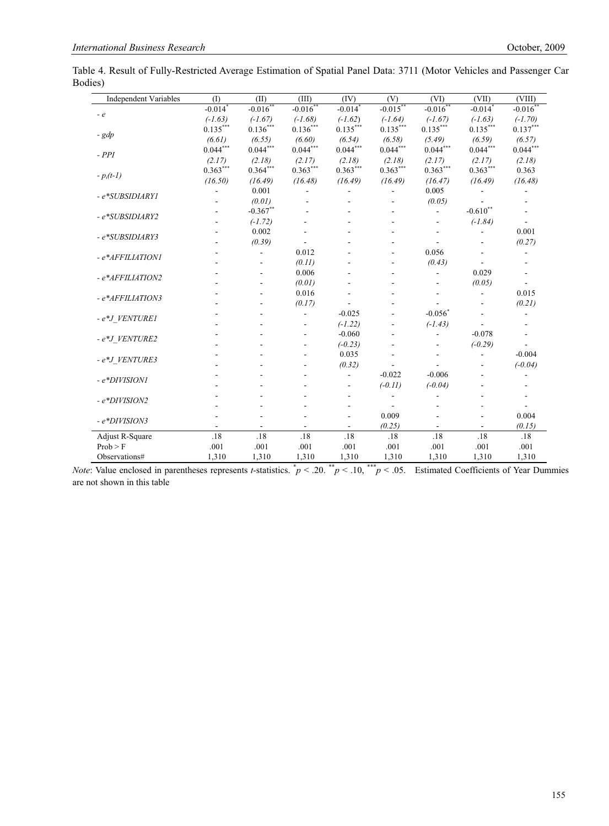Table 4. Result of Fully-Restricted Average Estimation of Spatial Panel Data: 3711 (Motor Vehicles and Passenger Car Bodies)

| <b>Independent Variables</b> | (1)                      | (II)                                   | (III)                    | (IV)                     | (V)                      | (VI)                     | (VII)                    | (VIII)                   |
|------------------------------|--------------------------|----------------------------------------|--------------------------|--------------------------|--------------------------|--------------------------|--------------------------|--------------------------|
|                              | $-0.014$ <sup>*</sup>    | $\overline{\textbf{0.016}}^{\ast\ast}$ | $-0.016**$               | $-0.014$ <sup>*</sup>    | $-0.015**$               | $-0.016**$               | $-0.014$ <sup>*</sup>    | $-0.016$ **              |
| $-e$                         | $(-1.63)$                | $(-1.67)$                              | $(-1.68)$                | $(-1.62)$                | $(-1.64)$                | $(-1.67)$                | $(-1.63)$                | $(-1.70)$                |
|                              | $0.135***$               | $0.136***$                             | $0.136***$               | $0.135***$               | $0.135***$               | $0.135***$               | $0.135***$               | $0.137***$               |
| $-gdp$                       | (6.61)                   | (6.55)                                 | (6.60)                   | (6.54)                   | (6.58)                   | (5.49)                   | (6.59)                   | (6.57)                   |
|                              | $0.044^{***}\,$          | $0.044***$                             | $0.044\sp{***}$          | $0.044***$               | $0.044^{***}\,$          | $0.044^{***}\,$          | $0.044***$               | $0.044***$               |
| $ PPI$                       | (2.17)                   | (2.18)                                 | (2.17)                   | (2.18)                   | (2.18)                   | (2.17)                   | (2.17)                   | (2.18)                   |
|                              | $0.363***$               | $0.364***$                             | $0.363***$               | $0.363***$               | $0.363***$               | $0.363***$               | $0.363***$               | 0.363                    |
| $-p_i(t-1)$                  | (16.50)                  | (16.49)                                | (16.48)                  | (16.49)                  | (16.49)                  | (16.47)                  | (16.49)                  | (16.48)                  |
|                              | $\overline{\phantom{a}}$ | 0.001                                  |                          | L,                       | $\overline{\phantom{0}}$ | 0.005                    |                          |                          |
| - e*SUBSIDIARY1              | $\overline{a}$           | (0.01)                                 | ÷.                       |                          | ÷                        | (0.05)                   | $\blacksquare$           | $\overline{a}$           |
|                              |                          | $-0.367**$                             |                          |                          | ۰                        | ÷,                       | $-0.610**$               |                          |
| - e*SUBSIDIARY2              |                          | $(-1.72)$                              |                          |                          | ٠                        | $\overline{\phantom{a}}$ | $(-1.84)$                |                          |
|                              |                          | 0.002                                  |                          |                          |                          | ÷                        | ÷                        | 0.001                    |
| - e*SUBSIDIARY3              |                          | (0.39)                                 |                          |                          | $\overline{\phantom{a}}$ | $\overline{\phantom{a}}$ |                          | (0.27)                   |
|                              |                          | $\overline{\phantom{a}}$               | 0.012                    |                          | $\overline{\phantom{a}}$ | 0.056                    |                          |                          |
| - e*AFFILIATION1             |                          |                                        | (0.11)                   |                          | $\overline{a}$           | (0.43)                   |                          |                          |
|                              |                          |                                        | 0.006                    |                          | $\blacksquare$           | ÷,                       | 0.029                    |                          |
| - e*AFFILIATION2             |                          |                                        | (0.01)                   |                          | $\blacksquare$           | $\blacksquare$           | (0.05)                   |                          |
|                              |                          |                                        | 0.016                    |                          | $\blacksquare$           | Ξ.                       | $\sim$                   | 0.015                    |
| - e*AFFILIATION3             |                          |                                        | (0.17)                   |                          | ٠                        |                          |                          | (0.21)                   |
|                              |                          |                                        | $\overline{\phantom{a}}$ | $-0.025$                 | $\overline{a}$           | $-0.056$ <sup>*</sup>    |                          |                          |
| $-e*J_VENTURE1$              |                          |                                        | $\overline{\phantom{a}}$ | $(-1.22)$                | L,                       | $(-1.43)$                |                          |                          |
|                              |                          |                                        |                          | $-0.060$                 | ÷                        | ÷,                       | $-0.078$                 |                          |
| $-e*J$ VENTURE2              |                          |                                        | $\overline{a}$           | $(-0.23)$                | ÷                        | ÷,                       | $(-0.29)$                |                          |
|                              |                          |                                        |                          | 0.035                    |                          |                          |                          | $-0.004$                 |
| $-e^*J$ VENTURE3             |                          |                                        | $\overline{a}$           | (0.32)                   |                          |                          | $\blacksquare$           | $(-0.04)$                |
|                              |                          |                                        | $\blacksquare$           | $\overline{\phantom{a}}$ | $-0.022$                 | $-0.006$                 | ۰                        |                          |
| - e*DIVISION1                |                          |                                        | ٠                        | $\overline{\phantom{a}}$ | $(-0.11)$                | $(-0.04)$                | -                        | $\overline{\phantom{a}}$ |
|                              |                          |                                        |                          | $\overline{\phantom{a}}$ | $\overline{\phantom{a}}$ | Ξ.                       |                          |                          |
| - e*DIVISION2                |                          |                                        |                          | $\overline{\phantom{a}}$ | $\blacksquare$           |                          |                          |                          |
|                              |                          |                                        | L,                       | $\overline{\phantom{a}}$ | 0.009                    |                          |                          | 0.004                    |
| - e*DIVISION3                |                          |                                        |                          | $\blacksquare$           | (0.25)                   |                          | $\overline{\phantom{a}}$ | (0.15)                   |
| Adjust R-Square              | .18                      | .18                                    | .18                      | .18                      | .18                      | .18                      | $.18$                    | .18                      |
| Prob > F                     | .001                     | .001                                   | .001                     | .001                     | .001                     | .001                     | .001                     | .001                     |
| Observations#                | 1,310                    | 1,310                                  | 1,310                    | 1,310                    | 1,310                    | 1,310                    | 1,310                    | 1,310                    |

*Note*: Value enclosed in parentheses represents *t*-statistics.  $\dot{p}$  < .20.  $\dot{p}$  < .10,  $\dot{p}$  × .10,  $\dot{p}$  < .05. Estimated Coefficients of Year Dummies are not shown in this table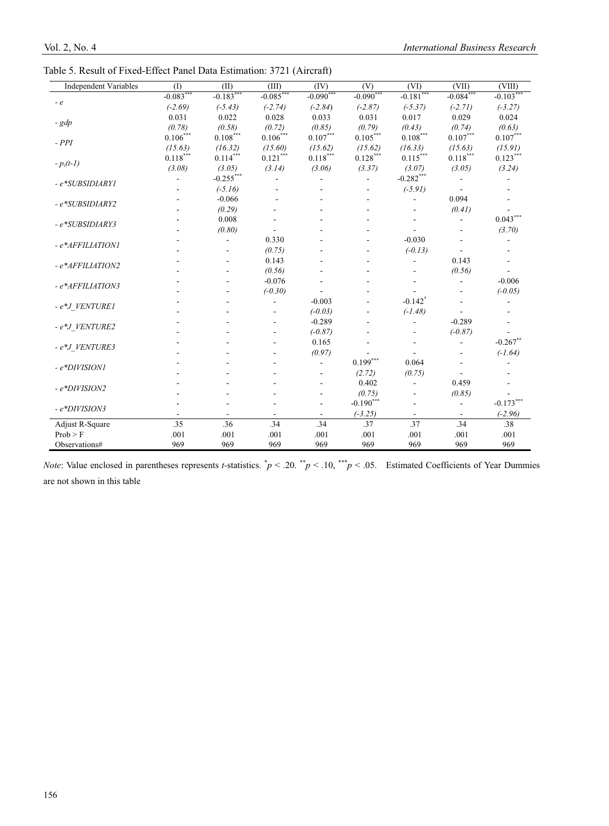| Table 5. Result of Fixed-Effect Panel Data Estimation: 3721 (Aircraft) |  |
|------------------------------------------------------------------------|--|
|------------------------------------------------------------------------|--|

| <b>Independent Variables</b> | (1)         | (II)                     | (III)                    | (IV)                     | (V)                              | (VI)                     | (VII)          | (VIII)             |
|------------------------------|-------------|--------------------------|--------------------------|--------------------------|----------------------------------|--------------------------|----------------|--------------------|
|                              | $-0.083***$ | $-0.183***$              | $-0.085***$              | $-0.090***$              | $\textbf{-0.090}^{\ast\ast\ast}$ | $-0.181***$              | $-0.084***$    | $-0.103***$        |
| $-e$                         | $(-2.69)$   | $(-5.43)$                | $(-2.74)$                | $(-2.84)$                | $(-2.87)$                        | $(-5.37)$                | $(-2.71)$      | $(-3.27)$          |
| $-gdp$                       | 0.031       | 0.022                    | 0.028                    | 0.033                    | 0.031                            | 0.017                    | 0.029          | 0.024              |
|                              | (0.78)      | (0.58)                   | (0.72)                   | (0.85)                   | (0.79)                           | (0.43)                   | (0.74)         | (0.63)             |
| $ PPI$                       | $0.106***$  | $0.108***$               | $0.106***$               | $0.107***$               | $0.105***$                       | $0.108***$               | $0.107***$     | $0.107\sp{*}^{**}$ |
|                              | (15.63)     | (16.32)                  | (15.60)                  | (15.62)                  | (15.62)                          | (16.33)                  | (15.63)        | (15.91)            |
|                              | $0.118***$  | $0.114***$               | $0.121^{\ast\ast\ast}$   | $0.118^{\ast\ast\ast}$   | $0.128^{***}$                    | $0.115***$               | $0.118***$     | $0.123***$         |
| $-p_i(t-1)$                  | (3.08)      | (3.05)                   | (3.14)                   | (3.06)                   | (3.37)                           | (3.07)                   | (3.05)         | (3.24)             |
|                              |             | $-0.255***$              |                          |                          | $\blacksquare$                   | $-0.282***$              |                |                    |
| - e*SUBSIDIARY1              |             | $(-5.16)$                | $\overline{a}$           |                          | $\blacksquare$                   | $(-5.91)$                |                |                    |
|                              |             | $-0.066$                 |                          |                          | $\overline{a}$                   | $\overline{\phantom{a}}$ | 0.094          |                    |
| - e*SUBSIDIARY2              |             | (0.29)                   |                          |                          | $\overline{a}$                   |                          | (0.41)         | $\sim$             |
|                              |             | 0.008                    |                          |                          |                                  |                          | $\overline{a}$ | $0.043^{***}\,$    |
| - e*SUBSIDIARY3              |             | (0.80)                   | $\overline{\phantom{a}}$ |                          | L,                               |                          |                | (3.70)             |
|                              |             | $\overline{\phantom{a}}$ | 0.330                    |                          |                                  | $-0.030$                 |                |                    |
| - e*AFFILIATION1             |             | ÷                        | (0.75)                   |                          |                                  | $(-0.13)$                |                |                    |
|                              |             |                          | 0.143                    |                          | ÷.                               | $\blacksquare$           | 0.143          |                    |
| - e*AFFILIATION2             |             |                          | (0.56)                   |                          |                                  |                          | (0.56)         |                    |
| - e*AFFILIATION3             |             |                          | $-0.076$                 |                          |                                  |                          |                | $-0.006$           |
|                              |             |                          | $(-0.30)$                |                          |                                  |                          |                | $(-0.05)$          |
|                              |             |                          |                          | $-0.003$                 |                                  | $-0.142$ <sup>*</sup>    |                |                    |
| $-e*J_VENTURE1$              |             |                          |                          | $(-0.03)$                |                                  | $(-1.48)$                |                |                    |
|                              |             |                          |                          | $-0.289$                 |                                  | $\blacksquare$           | $-0.289$       |                    |
| $-e^*J$ VENTURE2             |             |                          | ÷                        | $(-0.87)$                |                                  | $\overline{\phantom{a}}$ | $(-0.87)$      |                    |
|                              |             |                          | $\blacksquare$           | 0.165                    |                                  |                          |                | $-0.267$ **        |
| $-e$ <sup>*</sup> J_VENTURE3 |             |                          | $\blacksquare$           | (0.97)                   |                                  |                          |                | $(-1.64)$          |
|                              |             |                          |                          | $\overline{\phantom{a}}$ | $0.199***$                       | 0.064                    |                |                    |
| - e*DIVISION1                |             |                          |                          |                          | (2.72)                           | (0.75)                   |                |                    |
| - e*DIVISION2                |             |                          |                          |                          | 0.402                            |                          | 0.459          |                    |
|                              |             |                          |                          |                          | (0.75)                           | $\overline{a}$           | (0.85)         |                    |
| - e*DIVISION3                |             |                          |                          | $\overline{\phantom{a}}$ | $-0.190***$                      |                          | $\blacksquare$ | $-0.173***$        |
|                              |             |                          |                          | $\overline{\phantom{a}}$ | $(-3.25)$                        |                          |                | $(-2.96)$          |
| Adjust R-Square              | .35         | .36                      | .34                      | .34                      | .37                              | .37                      | .34            | .38                |
| Prob > F                     | .001        | .001                     | .001                     | .001                     | .001                             | .001                     | .001           | .001               |
| Observations#                | 969         | 969                      | 969                      | 969                      | 969                              | 969                      | 969            | 969                |

*Note*: Value enclosed in parentheses represents *t*-statistics.  $\bar{p}$  < .20.  $\bar{p}$  < .10,  $\bar{p}$  < .10,  $\bar{p}$  < .05. Estimated Coefficients of Year Dummies are not shown in this table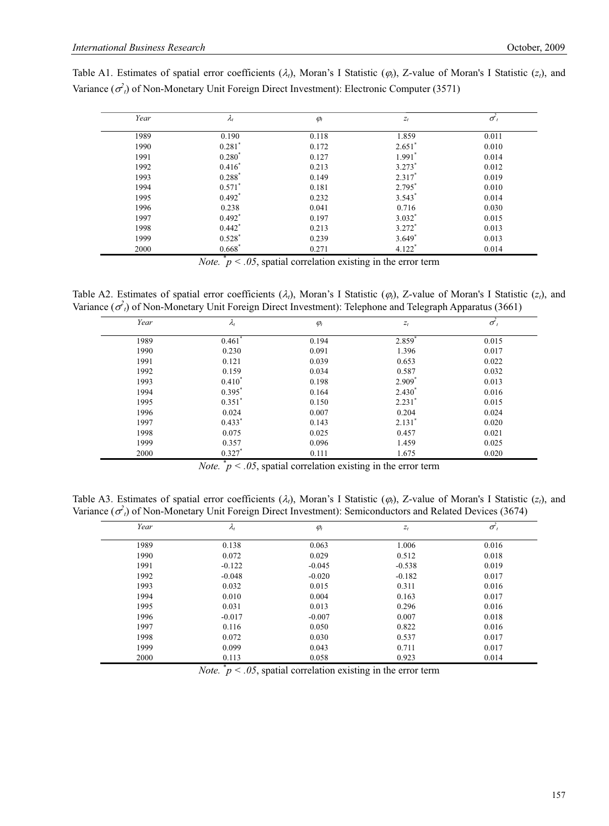| Year | $\lambda_t$          | $\varphi_t$ | $Z_t$                | $\sigma_t$ |
|------|----------------------|-------------|----------------------|------------|
| 1989 | 0.190                | 0.118       | 1.859                | 0.011      |
| 1990 | $0.281^*$            | 0.172       | $2.651*$             | 0.010      |
| 1991 | $0.280^*$            | 0.127       | $1.991$ <sup>*</sup> | 0.014      |
| 1992 | $0.416*$             | 0.213       | $3.273*$             | 0.012      |
| 1993 | $0.288^*$            | 0.149       | $2.317*$             | 0.019      |
| 1994 | $0.571$ <sup>*</sup> | 0.181       | 2.795*               | 0.010      |
| 1995 | $0.492^*$            | 0.232       | $3.543*$             | 0.014      |
| 1996 | 0.238                | 0.041       | 0.716                | 0.030      |
| 1997 | $0.492*$             | 0.197       | $3.032*$             | 0.015      |
| 1998 | $0.442$ <sup>*</sup> | 0.213       | 3.272 <sup>*</sup>   | 0.013      |
| 1999 | $0.528*$             | 0.239       | $3.649*$             | 0.013      |
| 2000 | $0.668*$             | 0.271       | $4.122*$             | 0.014      |

Table A1. Estimates of spatial error coefficients  $(\lambda_i)$ , Moran's I Statistic  $(\varphi_i)$ , Z-value of Moran's I Statistic  $(z_i)$ , and Variance  $(\sigma_i^2)$  of Non-Monetary Unit Foreign Direct Investment): Electronic Computer (3571)

*Note.*  $\phi$  < .05, spatial correlation existing in the error term

Table A2. Estimates of spatial error coefficients  $(\lambda_i)$ , Moran's I Statistic  $(\varphi_i)$ , Z-value of Moran's I Statistic  $(z_i)$ , and Variance ( $\sigma_i^2$ ) of Non-Monetary Unit Foreign Direct Investment): Telephone and Telegraph Apparatus (3661)

|      |                      |       |                      | $\sigma_t^2$ |
|------|----------------------|-------|----------------------|--------------|
| 1989 | $0.461$ <sup>*</sup> | 0.194 | $2.859*$             | 0.015        |
| 1990 | 0.230                | 0.091 | 1.396                | 0.017        |
| 1991 | 0.121                | 0.039 | 0.653                | 0.022        |
| 1992 | 0.159                | 0.034 | 0.587                | 0.032        |
| 1993 | $0.410*$             | 0.198 | $2.909*$             | 0.013        |
| 1994 | $0.395*$             | 0.164 | $2.430*$             | 0.016        |
| 1995 | $0.351^*$            | 0.150 | $2.231$ <sup>*</sup> | 0.015        |
| 1996 | 0.024                | 0.007 | 0.204                | 0.024        |
| 1997 | $0.433*$             | 0.143 | $2.131*$             | 0.020        |
| 1998 | 0.075                | 0.025 | 0.457                | 0.021        |
| 1999 | 0.357                | 0.096 | 1.459                | 0.025        |
| 2000 | $0.327*$<br>÷        | 0.111 | 1.675                | 0.020        |

*Note.*  $\phi$  /  $\theta$  /  $\theta$ , spatial correlation existing in the error term

Table A3. Estimates of spatial error coefficients ( $\lambda$ <sub>t</sub>), Moran's I Statistic ( $\varphi$ <sub>i</sub>), Z-value of Moran's I Statistic ( $z$ <sub>i</sub>), and Variance ( $\sigma_l^2$ ) of Non-Monetary Unit Foreign Direct Investment): Semiconductors and Related Devices (3674)

| Year | $\lambda_t$ | $\varphi_t$ | $Z_t$    | $\overline{\sigma}_t^2$ |
|------|-------------|-------------|----------|-------------------------|
| 1989 | 0.138       | 0.063       | 1.006    | 0.016                   |
| 1990 | 0.072       | 0.029       | 0.512    | 0.018                   |
| 1991 | $-0.122$    | $-0.045$    | $-0.538$ | 0.019                   |
| 1992 | $-0.048$    | $-0.020$    | $-0.182$ | 0.017                   |
| 1993 | 0.032       | 0.015       | 0.311    | 0.016                   |
| 1994 | 0.010       | 0.004       | 0.163    | 0.017                   |
| 1995 | 0.031       | 0.013       | 0.296    | 0.016                   |
| 1996 | $-0.017$    | $-0.007$    | 0.007    | 0.018                   |
| 1997 | 0.116       | 0.050       | 0.822    | 0.016                   |
| 1998 | 0.072       | 0.030       | 0.537    | 0.017                   |
| 1999 | 0.099       | 0.043       | 0.711    | 0.017                   |
| 2000 | 0.113       | 0.058       | 0.923    | 0.014                   |

*Note.*  $\phi$   $\sim$  .05, spatial correlation existing in the error term